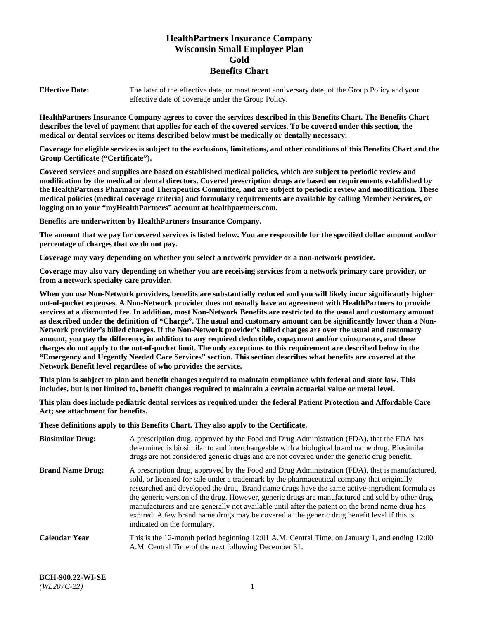# **HealthPartners Insurance Company Wisconsin Small Employer Plan Gold Benefits Chart**

**Effective Date:** The later of the effective date, or most recent anniversary date, of the Group Policy and your effective date of coverage under the Group Policy.

**HealthPartners Insurance Company agrees to cover the services described in this Benefits Chart. The Benefits Chart describes the level of payment that applies for each of the covered services. To be covered under this section, the medical or dental services or items described below must be medically or dentally necessary.**

**Coverage for eligible services is subject to the exclusions, limitations, and other conditions of this Benefits Chart and the Group Certificate ("Certificate").**

**Covered services and supplies are based on established medical policies, which are subject to periodic review and modification by the medical or dental directors. Covered prescription drugs are based on requirements established by the HealthPartners Pharmacy and Therapeutics Committee, and are subject to periodic review and modification. These medical policies (medical coverage criteria) and formulary requirements are available by calling Member Services, or logging on to your "myHealthPartners" account at [healthpartners.com.](https://www.healthpartners.com/hp/index.html)** 

**Benefits are underwritten by HealthPartners Insurance Company.**

**The amount that we pay for covered services is listed below. You are responsible for the specified dollar amount and/or percentage of charges that we do not pay.**

**Coverage may vary depending on whether you select a network provider or a non-network provider.**

**Coverage may also vary depending on whether you are receiving services from a network primary care provider, or from a network specialty care provider.**

**When you use Non-Network providers, benefits are substantially reduced and you will likely incur significantly higher out-of-pocket expenses. A Non-Network provider does not usually have an agreement with HealthPartners to provide services at a discounted fee. In addition, most Non-Network Benefits are restricted to the usual and customary amount as described under the definition of "Charge". The usual and customary amount can be significantly lower than a Non-Network provider's billed charges. If the Non-Network provider's billed charges are over the usual and customary amount, you pay the difference, in addition to any required deductible, copayment and/or coinsurance, and these charges do not apply to the out-of-pocket limit. The only exceptions to this requirement are described below in the "Emergency and Urgently Needed Care Services" section. This section describes what benefits are covered at the Network Benefit level regardless of who provides the service.**

**This plan is subject to plan and benefit changes required to maintain compliance with federal and state law. This includes, but is not limited to, benefit changes required to maintain a certain actuarial value or metal level.**

**This plan does include pediatric dental services as required under the federal Patient Protection and Affordable Care Act; see attachment for benefits.**

**These definitions apply to this Benefits Chart. They also apply to the Certificate.**

| <b>Biosimilar Drug:</b> | A prescription drug, approved by the Food and Drug Administration (FDA), that the FDA has<br>determined is biosimilar to and interchangeable with a biological brand name drug. Biosimilar<br>drugs are not considered generic drugs and are not covered under the generic drug benefit.                                                                                                                                                                                                                                                                                                                                           |
|-------------------------|------------------------------------------------------------------------------------------------------------------------------------------------------------------------------------------------------------------------------------------------------------------------------------------------------------------------------------------------------------------------------------------------------------------------------------------------------------------------------------------------------------------------------------------------------------------------------------------------------------------------------------|
| <b>Brand Name Drug:</b> | A prescription drug, approved by the Food and Drug Administration (FDA), that is manufactured,<br>sold, or licensed for sale under a trademark by the pharmaceutical company that originally<br>researched and developed the drug. Brand name drugs have the same active-ingredient formula as<br>the generic version of the drug. However, generic drugs are manufactured and sold by other drug<br>manufacturers and are generally not available until after the patent on the brand name drug has<br>expired. A few brand name drugs may be covered at the generic drug benefit level if this is<br>indicated on the formulary. |
| <b>Calendar Year</b>    | This is the 12-month period beginning 12:01 A.M. Central Time, on January 1, and ending 12:00<br>A.M. Central Time of the next following December 31.                                                                                                                                                                                                                                                                                                                                                                                                                                                                              |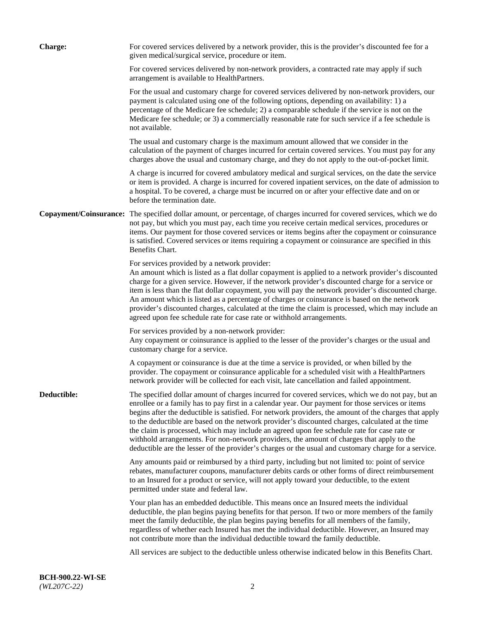| <b>Charge:</b>         | For covered services delivered by a network provider, this is the provider's discounted fee for a<br>given medical/surgical service, procedure or item.                                                                                                                                                                                                                                                                                                                                                                                                                                                                                                                                                                 |
|------------------------|-------------------------------------------------------------------------------------------------------------------------------------------------------------------------------------------------------------------------------------------------------------------------------------------------------------------------------------------------------------------------------------------------------------------------------------------------------------------------------------------------------------------------------------------------------------------------------------------------------------------------------------------------------------------------------------------------------------------------|
|                        | For covered services delivered by non-network providers, a contracted rate may apply if such<br>arrangement is available to HealthPartners.                                                                                                                                                                                                                                                                                                                                                                                                                                                                                                                                                                             |
|                        | For the usual and customary charge for covered services delivered by non-network providers, our<br>payment is calculated using one of the following options, depending on availability: 1) a<br>percentage of the Medicare fee schedule; 2) a comparable schedule if the service is not on the<br>Medicare fee schedule; or 3) a commercially reasonable rate for such service if a fee schedule is<br>not available.                                                                                                                                                                                                                                                                                                   |
|                        | The usual and customary charge is the maximum amount allowed that we consider in the<br>calculation of the payment of charges incurred for certain covered services. You must pay for any<br>charges above the usual and customary charge, and they do not apply to the out-of-pocket limit.                                                                                                                                                                                                                                                                                                                                                                                                                            |
|                        | A charge is incurred for covered ambulatory medical and surgical services, on the date the service<br>or item is provided. A charge is incurred for covered inpatient services, on the date of admission to<br>a hospital. To be covered, a charge must be incurred on or after your effective date and on or<br>before the termination date.                                                                                                                                                                                                                                                                                                                                                                           |
| Copayment/Coinsurance: | The specified dollar amount, or percentage, of charges incurred for covered services, which we do<br>not pay, but which you must pay, each time you receive certain medical services, procedures or<br>items. Our payment for those covered services or items begins after the copayment or coinsurance<br>is satisfied. Covered services or items requiring a copayment or coinsurance are specified in this<br>Benefits Chart.                                                                                                                                                                                                                                                                                        |
|                        | For services provided by a network provider:<br>An amount which is listed as a flat dollar copayment is applied to a network provider's discounted<br>charge for a given service. However, if the network provider's discounted charge for a service or<br>item is less than the flat dollar copayment, you will pay the network provider's discounted charge.<br>An amount which is listed as a percentage of charges or coinsurance is based on the network<br>provider's discounted charges, calculated at the time the claim is processed, which may include an<br>agreed upon fee schedule rate for case rate or withhold arrangements.                                                                            |
|                        | For services provided by a non-network provider:<br>Any copayment or coinsurance is applied to the lesser of the provider's charges or the usual and<br>customary charge for a service.                                                                                                                                                                                                                                                                                                                                                                                                                                                                                                                                 |
|                        | A copayment or coinsurance is due at the time a service is provided, or when billed by the<br>provider. The copayment or coinsurance applicable for a scheduled visit with a HealthPartners<br>network provider will be collected for each visit, late cancellation and failed appointment.                                                                                                                                                                                                                                                                                                                                                                                                                             |
| Deductible:            | The specified dollar amount of charges incurred for covered services, which we do not pay, but an<br>enrollee or a family has to pay first in a calendar year. Our payment for those services or items<br>begins after the deductible is satisfied. For network providers, the amount of the charges that apply<br>to the deductible are based on the network provider's discounted charges, calculated at the time<br>the claim is processed, which may include an agreed upon fee schedule rate for case rate or<br>withhold arrangements. For non-network providers, the amount of charges that apply to the<br>deductible are the lesser of the provider's charges or the usual and customary charge for a service. |
|                        | Any amounts paid or reimbursed by a third party, including but not limited to: point of service<br>rebates, manufacturer coupons, manufacturer debits cards or other forms of direct reimbursement<br>to an Insured for a product or service, will not apply toward your deductible, to the extent<br>permitted under state and federal law.                                                                                                                                                                                                                                                                                                                                                                            |
|                        | Your plan has an embedded deductible. This means once an Insured meets the individual<br>deductible, the plan begins paying benefits for that person. If two or more members of the family<br>meet the family deductible, the plan begins paying benefits for all members of the family,<br>regardless of whether each Insured has met the individual deductible. However, an Insured may<br>not contribute more than the individual deductible toward the family deductible.                                                                                                                                                                                                                                           |
|                        | All services are subject to the deductible unless otherwise indicated below in this Benefits Chart.                                                                                                                                                                                                                                                                                                                                                                                                                                                                                                                                                                                                                     |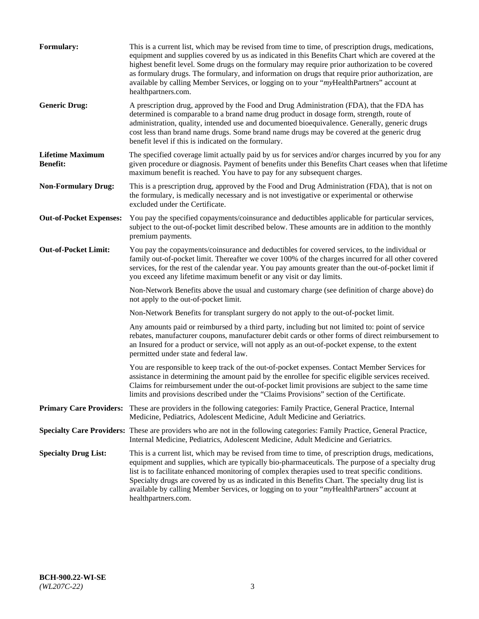| Formulary:                                 | This is a current list, which may be revised from time to time, of prescription drugs, medications,<br>equipment and supplies covered by us as indicated in this Benefits Chart which are covered at the<br>highest benefit level. Some drugs on the formulary may require prior authorization to be covered<br>as formulary drugs. The formulary, and information on drugs that require prior authorization, are<br>available by calling Member Services, or logging on to your "myHealthPartners" account at<br>healthpartners.com. |
|--------------------------------------------|---------------------------------------------------------------------------------------------------------------------------------------------------------------------------------------------------------------------------------------------------------------------------------------------------------------------------------------------------------------------------------------------------------------------------------------------------------------------------------------------------------------------------------------|
| <b>Generic Drug:</b>                       | A prescription drug, approved by the Food and Drug Administration (FDA), that the FDA has<br>determined is comparable to a brand name drug product in dosage form, strength, route of<br>administration, quality, intended use and documented bioequivalence. Generally, generic drugs<br>cost less than brand name drugs. Some brand name drugs may be covered at the generic drug<br>benefit level if this is indicated on the formulary.                                                                                           |
| <b>Lifetime Maximum</b><br><b>Benefit:</b> | The specified coverage limit actually paid by us for services and/or charges incurred by you for any<br>given procedure or diagnosis. Payment of benefits under this Benefits Chart ceases when that lifetime<br>maximum benefit is reached. You have to pay for any subsequent charges.                                                                                                                                                                                                                                              |
| <b>Non-Formulary Drug:</b>                 | This is a prescription drug, approved by the Food and Drug Administration (FDA), that is not on<br>the formulary, is medically necessary and is not investigative or experimental or otherwise<br>excluded under the Certificate.                                                                                                                                                                                                                                                                                                     |
| <b>Out-of-Pocket Expenses:</b>             | You pay the specified copayments/coinsurance and deductibles applicable for particular services,<br>subject to the out-of-pocket limit described below. These amounts are in addition to the monthly<br>premium payments.                                                                                                                                                                                                                                                                                                             |
| <b>Out-of-Pocket Limit:</b>                | You pay the copayments/coinsurance and deductibles for covered services, to the individual or<br>family out-of-pocket limit. Thereafter we cover 100% of the charges incurred for all other covered<br>services, for the rest of the calendar year. You pay amounts greater than the out-of-pocket limit if<br>you exceed any lifetime maximum benefit or any visit or day limits.                                                                                                                                                    |
|                                            | Non-Network Benefits above the usual and customary charge (see definition of charge above) do<br>not apply to the out-of-pocket limit.                                                                                                                                                                                                                                                                                                                                                                                                |
|                                            | Non-Network Benefits for transplant surgery do not apply to the out-of-pocket limit.                                                                                                                                                                                                                                                                                                                                                                                                                                                  |
|                                            | Any amounts paid or reimbursed by a third party, including but not limited to: point of service<br>rebates, manufacturer coupons, manufacturer debit cards or other forms of direct reimbursement to<br>an Insured for a product or service, will not apply as an out-of-pocket expense, to the extent<br>permitted under state and federal law.                                                                                                                                                                                      |
|                                            | You are responsible to keep track of the out-of-pocket expenses. Contact Member Services for<br>assistance in determining the amount paid by the enrollee for specific eligible services received.<br>Claims for reimbursement under the out-of-pocket limit provisions are subject to the same time<br>limits and provisions described under the "Claims Provisions" section of the Certificate.                                                                                                                                     |
| <b>Primary Care Providers:</b>             | These are providers in the following categories: Family Practice, General Practice, Internal<br>Medicine, Pediatrics, Adolescent Medicine, Adult Medicine and Geriatrics.                                                                                                                                                                                                                                                                                                                                                             |
|                                            | Specialty Care Providers: These are providers who are not in the following categories: Family Practice, General Practice,<br>Internal Medicine, Pediatrics, Adolescent Medicine, Adult Medicine and Geriatrics.                                                                                                                                                                                                                                                                                                                       |
| <b>Specialty Drug List:</b>                | This is a current list, which may be revised from time to time, of prescription drugs, medications,<br>equipment and supplies, which are typically bio-pharmaceuticals. The purpose of a specialty drug<br>list is to facilitate enhanced monitoring of complex therapies used to treat specific conditions.<br>Specialty drugs are covered by us as indicated in this Benefits Chart. The specialty drug list is<br>available by calling Member Services, or logging on to your "myHealthPartners" account at<br>healthpartners.com. |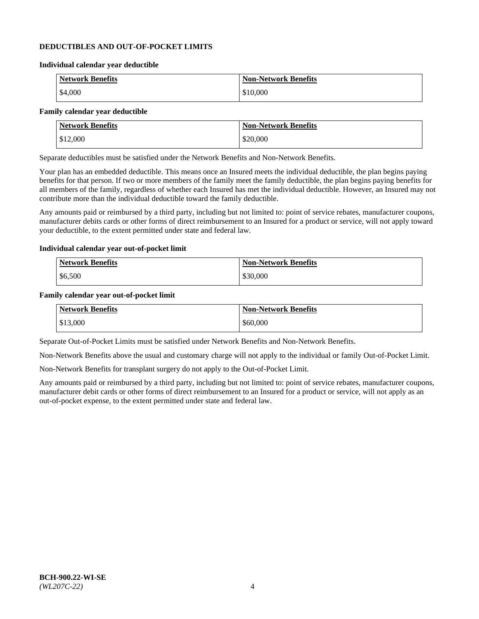### **DEDUCTIBLES AND OUT-OF-POCKET LIMITS**

#### **Individual calendar year deductible**

| <b>Network Benefits</b> | <b>Non-Network Benefits</b> |
|-------------------------|-----------------------------|
| \$4,000                 | \$10,000                    |

#### **Family calendar year deductible**

| <b>Network Benefits</b> | <b>Non-Network Benefits</b> |
|-------------------------|-----------------------------|
| \$12,000                | \$20,000                    |

Separate deductibles must be satisfied under the Network Benefits and Non-Network Benefits.

Your plan has an embedded deductible. This means once an Insured meets the individual deductible, the plan begins paying benefits for that person. If two or more members of the family meet the family deductible, the plan begins paying benefits for all members of the family, regardless of whether each Insured has met the individual deductible. However, an Insured may not contribute more than the individual deductible toward the family deductible.

Any amounts paid or reimbursed by a third party, including but not limited to: point of service rebates, manufacturer coupons, manufacturer debits cards or other forms of direct reimbursement to an Insured for a product or service, will not apply toward your deductible, to the extent permitted under state and federal law.

#### **Individual calendar year out-of-pocket limit**

| Network Benefits | <b>Non-Network Benefits</b> |
|------------------|-----------------------------|
| \$6,500          | \$30,000                    |

#### **Family calendar year out-of-pocket limit**

| <b>Network Benefits</b> | <b>Non-Network Benefits</b> |
|-------------------------|-----------------------------|
| $\frac{$13,000}{}$      | \$60,000                    |

Separate Out-of-Pocket Limits must be satisfied under Network Benefits and Non-Network Benefits.

Non-Network Benefits above the usual and customary charge will not apply to the individual or family Out-of-Pocket Limit.

Non-Network Benefits for transplant surgery do not apply to the Out-of-Pocket Limit.

Any amounts paid or reimbursed by a third party, including but not limited to: point of service rebates, manufacturer coupons, manufacturer debit cards or other forms of direct reimbursement to an Insured for a product or service, will not apply as an out-of-pocket expense, to the extent permitted under state and federal law.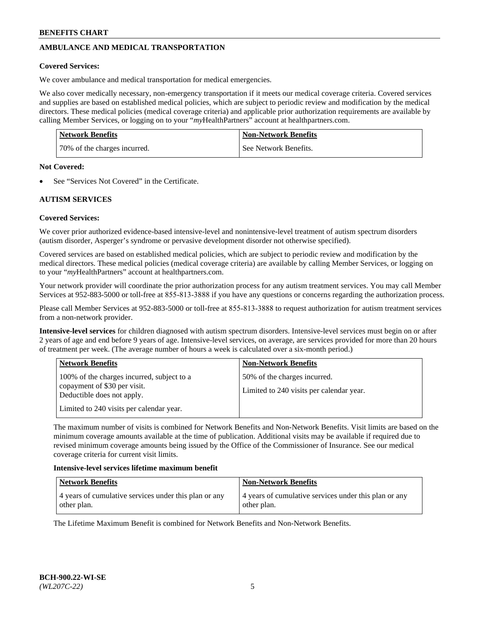# **AMBULANCE AND MEDICAL TRANSPORTATION**

### **Covered Services:**

We cover ambulance and medical transportation for medical emergencies.

We also cover medically necessary, non-emergency transportation if it meets our medical coverage criteria. Covered services and supplies are based on established medical policies, which are subject to periodic review and modification by the medical directors. These medical policies (medical coverage criteria) and applicable prior authorization requirements are available by calling Member Services, or logging on to your "*my*HealthPartners" account a[t healthpartners.com.](https://www.healthpartners.com/hp/index.html)

| <b>Network Benefits</b>      | <b>Non-Network Benefits</b> |
|------------------------------|-----------------------------|
| 70% of the charges incurred. | See Network Benefits.       |

#### **Not Covered:**

See "Services Not Covered" in the Certificate.

# **AUTISM SERVICES**

### **Covered Services:**

We cover prior authorized evidence-based intensive-level and nonintensive-level treatment of autism spectrum disorders (autism disorder, Asperger's syndrome or pervasive development disorder not otherwise specified).

Covered services are based on established medical policies, which are subject to periodic review and modification by the medical directors. These medical policies (medical coverage criteria) are available by calling Member Services, or logging on to your "*my*HealthPartners" account at [healthpartners.com.](https://www.healthpartners.com/hp/index.html)

Your network provider will coordinate the prior authorization process for any autism treatment services. You may call Member Services at 952-883-5000 or toll-free at 855-813-3888 if you have any questions or concerns regarding the authorization process.

Please call Member Services at 952-883-5000 or toll-free at 855-813-3888 to request authorization for autism treatment services from a non-network provider.

**Intensive-level services** for children diagnosed with autism spectrum disorders. Intensive-level services must begin on or after 2 years of age and end before 9 years of age. Intensive-level services, on average, are services provided for more than 20 hours of treatment per week. (The average number of hours a week is calculated over a six-month period.)

| <b>Network Benefits</b>                                                                                                                              | <b>Non-Network Benefits</b>                                              |
|------------------------------------------------------------------------------------------------------------------------------------------------------|--------------------------------------------------------------------------|
| 100% of the charges incurred, subject to a<br>copayment of \$30 per visit.<br>Deductible does not apply.<br>Limited to 240 visits per calendar year. | 50% of the charges incurred.<br>Limited to 240 visits per calendar year. |

The maximum number of visits is combined for Network Benefits and Non-Network Benefits. Visit limits are based on the minimum coverage amounts available at the time of publication. Additional visits may be available if required due to revised minimum coverage amounts being issued by the Office of the Commissioner of Insurance. See our medical coverage criteria for current visit limits.

#### **Intensive-level services lifetime maximum benefit**

| Network Benefits                                      | <b>Non-Network Benefits</b>                           |
|-------------------------------------------------------|-------------------------------------------------------|
| 4 years of cumulative services under this plan or any | 4 years of cumulative services under this plan or any |
| other plan.                                           | other plan.                                           |

The Lifetime Maximum Benefit is combined for Network Benefits and Non-Network Benefits.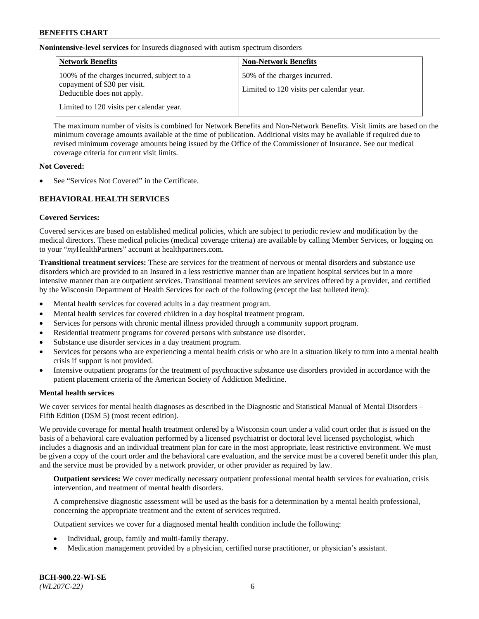**Nonintensive-level services** for Insureds diagnosed with autism spectrum disorders

| <b>Network Benefits</b>                                                                                  | <b>Non-Network Benefits</b>                                              |
|----------------------------------------------------------------------------------------------------------|--------------------------------------------------------------------------|
| 100% of the charges incurred, subject to a<br>copayment of \$30 per visit.<br>Deductible does not apply. | 50% of the charges incurred.<br>Limited to 120 visits per calendar year. |
| Limited to 120 visits per calendar year.                                                                 |                                                                          |

The maximum number of visits is combined for Network Benefits and Non-Network Benefits. Visit limits are based on the minimum coverage amounts available at the time of publication. Additional visits may be available if required due to revised minimum coverage amounts being issued by the Office of the Commissioner of Insurance. See our medical coverage criteria for current visit limits.

### **Not Covered:**

See "Services Not Covered" in the Certificate.

### **BEHAVIORAL HEALTH SERVICES**

### **Covered Services:**

Covered services are based on established medical policies, which are subject to periodic review and modification by the medical directors. These medical policies (medical coverage criteria) are available by calling Member Services, or logging on to your "*my*HealthPartners" account at [healthpartners.com.](https://www.healthpartners.com/hp/index.html)

**Transitional treatment services:** These are services for the treatment of nervous or mental disorders and substance use disorders which are provided to an Insured in a less restrictive manner than are inpatient hospital services but in a more intensive manner than are outpatient services. Transitional treatment services are services offered by a provider, and certified by the Wisconsin Department of Health Services for each of the following (except the last bulleted item):

- Mental health services for covered adults in a day treatment program.
- Mental health services for covered children in a day hospital treatment program.
- Services for persons with chronic mental illness provided through a community support program.
- Residential treatment programs for covered persons with substance use disorder.
- Substance use disorder services in a day treatment program.
- Services for persons who are experiencing a mental health crisis or who are in a situation likely to turn into a mental health crisis if support is not provided.
- Intensive outpatient programs for the treatment of psychoactive substance use disorders provided in accordance with the patient placement criteria of the American Society of Addiction Medicine.

### **Mental health services**

We cover services for mental health diagnoses as described in the Diagnostic and Statistical Manual of Mental Disorders – Fifth Edition (DSM 5) (most recent edition).

We provide coverage for mental health treatment ordered by a Wisconsin court under a valid court order that is issued on the basis of a behavioral care evaluation performed by a licensed psychiatrist or doctoral level licensed psychologist, which includes a diagnosis and an individual treatment plan for care in the most appropriate, least restrictive environment. We must be given a copy of the court order and the behavioral care evaluation, and the service must be a covered benefit under this plan, and the service must be provided by a network provider, or other provider as required by law.

**Outpatient services:** We cover medically necessary outpatient professional mental health services for evaluation, crisis intervention, and treatment of mental health disorders.

A comprehensive diagnostic assessment will be used as the basis for a determination by a mental health professional, concerning the appropriate treatment and the extent of services required.

Outpatient services we cover for a diagnosed mental health condition include the following:

- Individual, group, family and multi-family therapy.
- Medication management provided by a physician, certified nurse practitioner, or physician's assistant.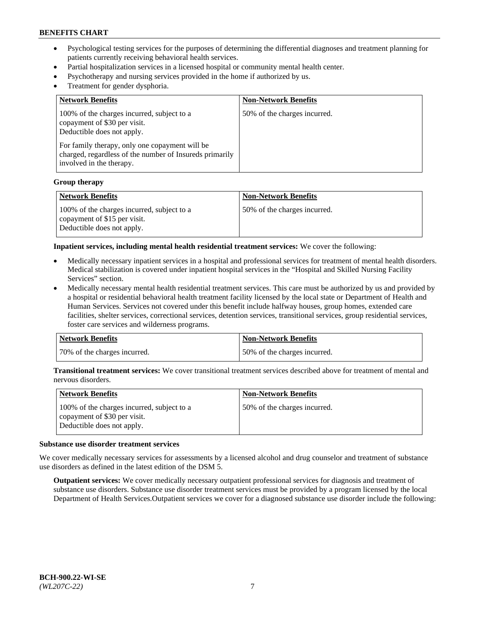- Psychological testing services for the purposes of determining the differential diagnoses and treatment planning for patients currently receiving behavioral health services.
- Partial hospitalization services in a licensed hospital or community mental health center.
- Psychotherapy and nursing services provided in the home if authorized by us.
- Treatment for gender dysphoria.

| <b>Network Benefits</b>                                                                                                                                                                                                                           | <b>Non-Network Benefits</b>  |
|---------------------------------------------------------------------------------------------------------------------------------------------------------------------------------------------------------------------------------------------------|------------------------------|
| 100% of the charges incurred, subject to a<br>copayment of \$30 per visit.<br>Deductible does not apply.<br>For family therapy, only one copayment will be<br>charged, regardless of the number of Insureds primarily<br>involved in the therapy. | 50% of the charges incurred. |

#### **Group therapy**

| Network Benefits                                                                                         | <b>Non-Network Benefits</b>  |
|----------------------------------------------------------------------------------------------------------|------------------------------|
| 100% of the charges incurred, subject to a<br>copayment of \$15 per visit.<br>Deductible does not apply. | 50% of the charges incurred. |

**Inpatient services, including mental health residential treatment services:** We cover the following:

- Medically necessary inpatient services in a hospital and professional services for treatment of mental health disorders. Medical stabilization is covered under inpatient hospital services in the "Hospital and Skilled Nursing Facility Services" section.
- Medically necessary mental health residential treatment services. This care must be authorized by us and provided by a hospital or residential behavioral health treatment facility licensed by the local state or Department of Health and Human Services. Services not covered under this benefit include halfway houses, group homes, extended care facilities, shelter services, correctional services, detention services, transitional services, group residential services, foster care services and wilderness programs.

| Network Benefits             | <b>Non-Network Benefits</b>  |
|------------------------------|------------------------------|
| 70% of the charges incurred. | 50% of the charges incurred. |

**Transitional treatment services:** We cover transitional treatment services described above for treatment of mental and nervous disorders.

| <b>Network Benefits</b>                                                                                  | <b>Non-Network Benefits</b>  |
|----------------------------------------------------------------------------------------------------------|------------------------------|
| 100% of the charges incurred, subject to a<br>copayment of \$30 per visit.<br>Deductible does not apply. | 50% of the charges incurred. |

#### **Substance use disorder treatment services**

We cover medically necessary services for assessments by a licensed alcohol and drug counselor and treatment of substance use disorders as defined in the latest edition of the DSM 5.

**Outpatient services:** We cover medically necessary outpatient professional services for diagnosis and treatment of substance use disorders. Substance use disorder treatment services must be provided by a program licensed by the local Department of Health Services.Outpatient services we cover for a diagnosed substance use disorder include the following: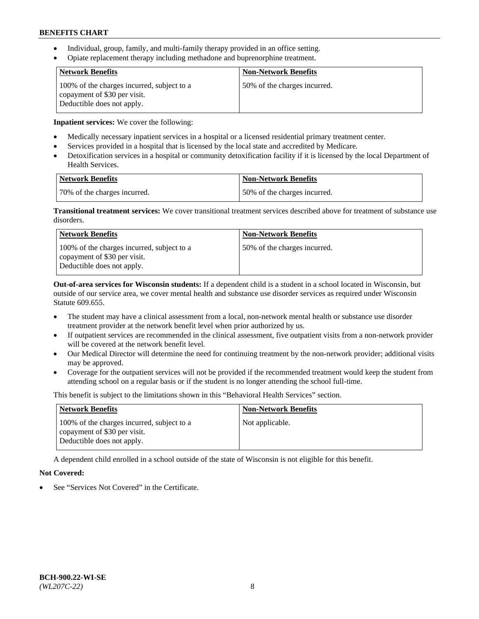- Individual, group, family, and multi-family therapy provided in an office setting.
- Opiate replacement therapy including methadone and buprenorphine treatment.

| <b>Network Benefits</b>                                                                                  | <b>Non-Network Benefits</b>  |
|----------------------------------------------------------------------------------------------------------|------------------------------|
| 100% of the charges incurred, subject to a<br>copayment of \$30 per visit.<br>Deductible does not apply. | 50% of the charges incurred. |

**Inpatient services:** We cover the following:

- Medically necessary inpatient services in a hospital or a licensed residential primary treatment center.
- Services provided in a hospital that is licensed by the local state and accredited by Medicare.
- Detoxification services in a hospital or community detoxification facility if it is licensed by the local Department of Health Services.

| Network Benefits             | Non-Network Benefits         |
|------------------------------|------------------------------|
| 70% of the charges incurred. | 50% of the charges incurred. |

**Transitional treatment services:** We cover transitional treatment services described above for treatment of substance use disorders.

| <b>Network Benefits</b>                                                                                  | <b>Non-Network Benefits</b>  |
|----------------------------------------------------------------------------------------------------------|------------------------------|
| 100% of the charges incurred, subject to a<br>copayment of \$30 per visit.<br>Deductible does not apply. | 50% of the charges incurred. |

**Out-of-area services for Wisconsin students:** If a dependent child is a student in a school located in Wisconsin, but outside of our service area, we cover mental health and substance use disorder services as required under Wisconsin Statute 609.655.

- The student may have a clinical assessment from a local, non-network mental health or substance use disorder treatment provider at the network benefit level when prior authorized by us.
- If outpatient services are recommended in the clinical assessment, five outpatient visits from a non-network provider will be covered at the network benefit level.
- Our Medical Director will determine the need for continuing treatment by the non-network provider; additional visits may be approved.
- Coverage for the outpatient services will not be provided if the recommended treatment would keep the student from attending school on a regular basis or if the student is no longer attending the school full-time.

This benefit is subject to the limitations shown in this "Behavioral Health Services" section.

| <b>Network Benefits</b>                                                                                  | <b>Non-Network Benefits</b> |
|----------------------------------------------------------------------------------------------------------|-----------------------------|
| 100% of the charges incurred, subject to a<br>copayment of \$30 per visit.<br>Deductible does not apply. | Not applicable.             |

A dependent child enrolled in a school outside of the state of Wisconsin is not eligible for this benefit.

### **Not Covered:**

See "Services Not Covered" in the Certificate.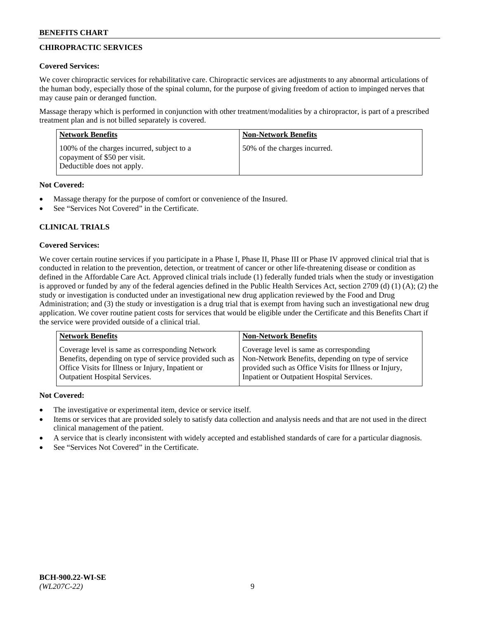# **CHIROPRACTIC SERVICES**

## **Covered Services:**

We cover chiropractic services for rehabilitative care. Chiropractic services are adjustments to any abnormal articulations of the human body, especially those of the spinal column, for the purpose of giving freedom of action to impinged nerves that may cause pain or deranged function.

Massage therapy which is performed in conjunction with other treatment/modalities by a chiropractor, is part of a prescribed treatment plan and is not billed separately is covered.

| <b>Network Benefits</b>                                                                                  | <b>Non-Network Benefits</b>  |
|----------------------------------------------------------------------------------------------------------|------------------------------|
| 100% of the charges incurred, subject to a<br>copayment of \$50 per visit.<br>Deductible does not apply. | 50% of the charges incurred. |

# **Not Covered:**

- Massage therapy for the purpose of comfort or convenience of the Insured.
- See "Services Not Covered" in the Certificate.

# **CLINICAL TRIALS**

# **Covered Services:**

We cover certain routine services if you participate in a Phase I, Phase II, Phase III or Phase IV approved clinical trial that is conducted in relation to the prevention, detection, or treatment of cancer or other life-threatening disease or condition as defined in the Affordable Care Act. Approved clinical trials include (1) federally funded trials when the study or investigation is approved or funded by any of the federal agencies defined in the Public Health Services Act, section 2709 (d) (1) (A); (2) the study or investigation is conducted under an investigational new drug application reviewed by the Food and Drug Administration; and (3) the study or investigation is a drug trial that is exempt from having such an investigational new drug application. We cover routine patient costs for services that would be eligible under the Certificate and this Benefits Chart if the service were provided outside of a clinical trial.

| Coverage level is same as corresponding<br>Coverage level is same as corresponding Network<br>Non-Network Benefits, depending on type of service<br>Benefits, depending on type of service provided such as<br>Office Visits for Illness or Injury, Inpatient or<br>provided such as Office Visits for Illness or Injury, | <b>Network Benefits</b>              | <b>Non-Network Benefits</b>                |
|---------------------------------------------------------------------------------------------------------------------------------------------------------------------------------------------------------------------------------------------------------------------------------------------------------------------------|--------------------------------------|--------------------------------------------|
|                                                                                                                                                                                                                                                                                                                           | <b>Outpatient Hospital Services.</b> | Inpatient or Outpatient Hospital Services. |

- The investigative or experimental item, device or service itself.
- Items or services that are provided solely to satisfy data collection and analysis needs and that are not used in the direct clinical management of the patient.
- A service that is clearly inconsistent with widely accepted and established standards of care for a particular diagnosis.
- See "Services Not Covered" in the Certificate.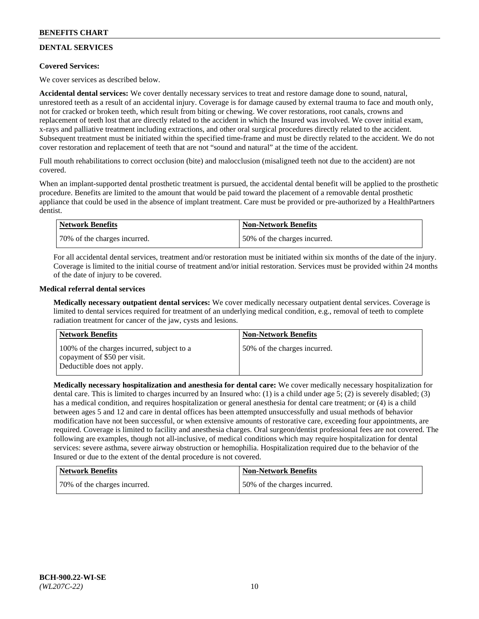# **DENTAL SERVICES**

### **Covered Services:**

We cover services as described below.

**Accidental dental services:** We cover dentally necessary services to treat and restore damage done to sound, natural, unrestored teeth as a result of an accidental injury. Coverage is for damage caused by external trauma to face and mouth only, not for cracked or broken teeth, which result from biting or chewing. We cover restorations, root canals, crowns and replacement of teeth lost that are directly related to the accident in which the Insured was involved. We cover initial exam, x-rays and palliative treatment including extractions, and other oral surgical procedures directly related to the accident. Subsequent treatment must be initiated within the specified time-frame and must be directly related to the accident. We do not cover restoration and replacement of teeth that are not "sound and natural" at the time of the accident.

Full mouth rehabilitations to correct occlusion (bite) and malocclusion (misaligned teeth not due to the accident) are not covered.

When an implant-supported dental prosthetic treatment is pursued, the accidental dental benefit will be applied to the prosthetic procedure. Benefits are limited to the amount that would be paid toward the placement of a removable dental prosthetic appliance that could be used in the absence of implant treatment. Care must be provided or pre-authorized by a HealthPartners dentist.

| Network Benefits             | <b>Non-Network Benefits</b>  |
|------------------------------|------------------------------|
| 70% of the charges incurred. | 50% of the charges incurred. |

For all accidental dental services, treatment and/or restoration must be initiated within six months of the date of the injury. Coverage is limited to the initial course of treatment and/or initial restoration. Services must be provided within 24 months of the date of injury to be covered.

### **Medical referral dental services**

**Medically necessary outpatient dental services:** We cover medically necessary outpatient dental services. Coverage is limited to dental services required for treatment of an underlying medical condition, e.g., removal of teeth to complete radiation treatment for cancer of the jaw, cysts and lesions.

| <b>Network Benefits</b>                                                                                  | <b>Non-Network Benefits</b>  |
|----------------------------------------------------------------------------------------------------------|------------------------------|
| 100% of the charges incurred, subject to a<br>copayment of \$50 per visit.<br>Deductible does not apply. | 50% of the charges incurred. |

**Medically necessary hospitalization and anesthesia for dental care:** We cover medically necessary hospitalization for dental care. This is limited to charges incurred by an Insured who: (1) is a child under age 5; (2) is severely disabled; (3) has a medical condition, and requires hospitalization or general anesthesia for dental care treatment; or (4) is a child between ages 5 and 12 and care in dental offices has been attempted unsuccessfully and usual methods of behavior modification have not been successful, or when extensive amounts of restorative care, exceeding four appointments, are required. Coverage is limited to facility and anesthesia charges. Oral surgeon/dentist professional fees are not covered. The following are examples, though not all-inclusive, of medical conditions which may require hospitalization for dental services: severe asthma, severe airway obstruction or hemophilia. Hospitalization required due to the behavior of the Insured or due to the extent of the dental procedure is not covered.

| <b>Network Benefits</b>      | Non-Network Benefits         |
|------------------------------|------------------------------|
| 70% of the charges incurred. | 50% of the charges incurred. |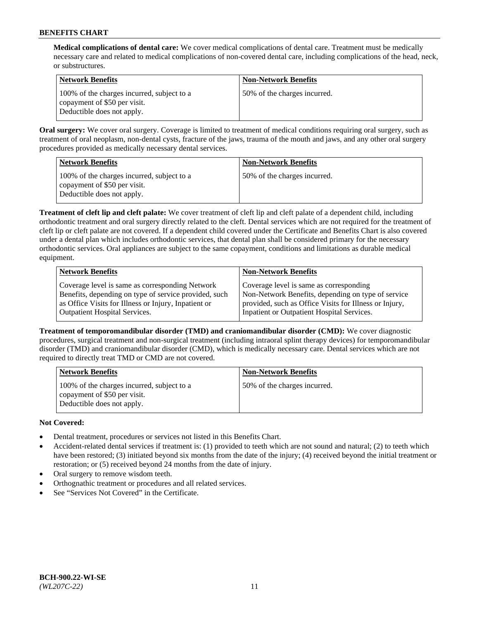**Medical complications of dental care:** We cover medical complications of dental care. Treatment must be medically necessary care and related to medical complications of non-covered dental care, including complications of the head, neck, or substructures.

| Network Benefits                                                                                         | <b>Non-Network Benefits</b>  |
|----------------------------------------------------------------------------------------------------------|------------------------------|
| 100% of the charges incurred, subject to a<br>copayment of \$50 per visit.<br>Deductible does not apply. | 50% of the charges incurred. |

**Oral surgery:** We cover oral surgery. Coverage is limited to treatment of medical conditions requiring oral surgery, such as treatment of oral neoplasm, non-dental cysts, fracture of the jaws, trauma of the mouth and jaws, and any other oral surgery procedures provided as medically necessary dental services.

| <b>Network Benefits</b>                                                                                  | <b>Non-Network Benefits</b>  |
|----------------------------------------------------------------------------------------------------------|------------------------------|
| 100% of the charges incurred, subject to a<br>copayment of \$50 per visit.<br>Deductible does not apply. | 50% of the charges incurred. |

**Treatment of cleft lip and cleft palate:** We cover treatment of cleft lip and cleft palate of a dependent child, including orthodontic treatment and oral surgery directly related to the cleft. Dental services which are not required for the treatment of cleft lip or cleft palate are not covered. If a dependent child covered under the Certificate and Benefits Chart is also covered under a dental plan which includes orthodontic services, that dental plan shall be considered primary for the necessary orthodontic services. Oral appliances are subject to the same copayment, conditions and limitations as durable medical equipment.

| <b>Network Benefits</b>                               | <b>Non-Network Benefits</b>                            |
|-------------------------------------------------------|--------------------------------------------------------|
| Coverage level is same as corresponding Network       | Coverage level is same as corresponding                |
| Benefits, depending on type of service provided, such | Non-Network Benefits, depending on type of service     |
| as Office Visits for Illness or Injury, Inpatient or  | provided, such as Office Visits for Illness or Injury, |
| Outpatient Hospital Services.                         | Inpatient or Outpatient Hospital Services.             |

**Treatment of temporomandibular disorder (TMD) and craniomandibular disorder (CMD):** We cover diagnostic procedures, surgical treatment and non-surgical treatment (including intraoral splint therapy devices) for temporomandibular disorder (TMD) and craniomandibular disorder (CMD), which is medically necessary care. Dental services which are not required to directly treat TMD or CMD are not covered.

| <b>Network Benefits</b>                                                                                  | <b>Non-Network Benefits</b>  |
|----------------------------------------------------------------------------------------------------------|------------------------------|
| 100% of the charges incurred, subject to a<br>copayment of \$50 per visit.<br>Deductible does not apply. | 50% of the charges incurred. |

- Dental treatment, procedures or services not listed in this Benefits Chart.
- Accident-related dental services if treatment is: (1) provided to teeth which are not sound and natural; (2) to teeth which have been restored; (3) initiated beyond six months from the date of the injury; (4) received beyond the initial treatment or restoration; or (5) received beyond 24 months from the date of injury.
- Oral surgery to remove wisdom teeth.
- Orthognathic treatment or procedures and all related services.
- See "Services Not Covered" in the Certificate.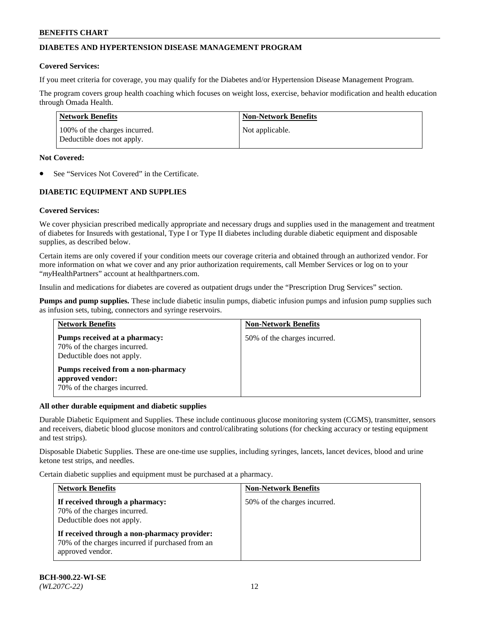# **DIABETES AND HYPERTENSION DISEASE MANAGEMENT PROGRAM**

### **Covered Services:**

If you meet criteria for coverage, you may qualify for the Diabetes and/or Hypertension Disease Management Program.

The program covers group health coaching which focuses on weight loss, exercise, behavior modification and health education through Omada Health.

| <b>Network Benefits</b>                                     | <b>Non-Network Benefits</b> |
|-------------------------------------------------------------|-----------------------------|
| 100% of the charges incurred.<br>Deductible does not apply. | Not applicable.             |

### **Not Covered:**

See "Services Not Covered" in the Certificate.

# **DIABETIC EQUIPMENT AND SUPPLIES**

### **Covered Services:**

We cover physician prescribed medically appropriate and necessary drugs and supplies used in the management and treatment of diabetes for Insureds with gestational, Type I or Type II diabetes including durable diabetic equipment and disposable supplies, as described below.

Certain items are only covered if your condition meets our coverage criteria and obtained through an authorized vendor. For more information on what we cover and any prior authorization requirements, call Member Services or log on to your "*my*HealthPartners" account at [healthpartners.com.](http://www.healthpartners.com/)

Insulin and medications for diabetes are covered as outpatient drugs under the "Prescription Drug Services" section.

**Pumps and pump supplies.** These include diabetic insulin pumps, diabetic infusion pumps and infusion pump supplies such as infusion sets, tubing, connectors and syringe reservoirs.

| <b>Network Benefits</b>                                                                     | <b>Non-Network Benefits</b>  |
|---------------------------------------------------------------------------------------------|------------------------------|
| Pumps received at a pharmacy:<br>70% of the charges incurred.<br>Deductible does not apply. | 50% of the charges incurred. |
| Pumps received from a non-pharmacy<br>approved vendor:<br>70% of the charges incurred.      |                              |

### **All other durable equipment and diabetic supplies**

Durable Diabetic Equipment and Supplies. These include continuous glucose monitoring system (CGMS), transmitter, sensors and receivers, diabetic blood glucose monitors and control/calibrating solutions (for checking accuracy or testing equipment and test strips).

Disposable Diabetic Supplies. These are one-time use supplies, including syringes, lancets, lancet devices, blood and urine ketone test strips, and needles.

Certain diabetic supplies and equipment must be purchased at a pharmacy.

| <b>Network Benefits</b>                                                                                              | <b>Non-Network Benefits</b>  |  |
|----------------------------------------------------------------------------------------------------------------------|------------------------------|--|
| If received through a pharmacy:<br>70% of the charges incurred.<br>Deductible does not apply.                        | 50% of the charges incurred. |  |
| If received through a non-pharmacy provider:<br>70% of the charges incurred if purchased from an<br>approved vendor. |                              |  |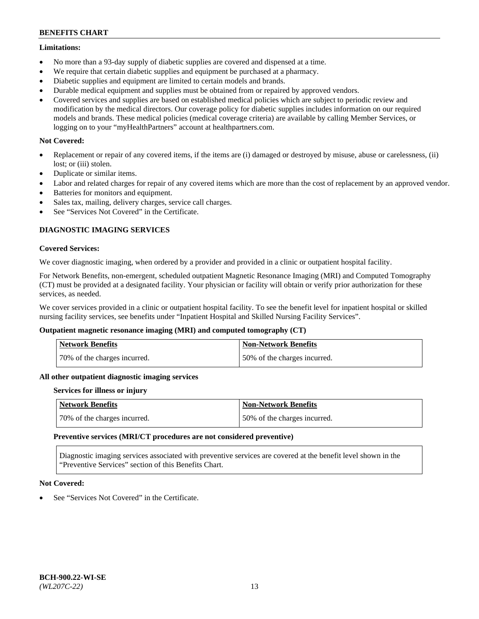### **Limitations:**

- No more than a 93-day supply of diabetic supplies are covered and dispensed at a time.
- We require that certain diabetic supplies and equipment be purchased at a pharmacy.
- Diabetic supplies and equipment are limited to certain models and brands.
- Durable medical equipment and supplies must be obtained from or repaired by approved vendors.
- Covered services and supplies are based on established medical policies which are subject to periodic review and modification by the medical directors. Our coverage policy for diabetic supplies includes information on our required models and brands. These medical policies (medical coverage criteria) are available by calling Member Services, or logging on to your "myHealthPartners" account at [healthpartners.com.](http://www.healthpartners.com/)

### **Not Covered:**

- Replacement or repair of any covered items, if the items are (i) damaged or destroyed by misuse, abuse or carelessness, (ii) lost; or (iii) stolen.
- Duplicate or similar items.
- Labor and related charges for repair of any covered items which are more than the cost of replacement by an approved vendor.
- Batteries for monitors and equipment.
- Sales tax, mailing, delivery charges, service call charges.
- See "Services Not Covered" in the Certificate.

### **DIAGNOSTIC IMAGING SERVICES**

### **Covered Services:**

We cover diagnostic imaging, when ordered by a provider and provided in a clinic or outpatient hospital facility.

For Network Benefits, non-emergent, scheduled outpatient Magnetic Resonance Imaging (MRI) and Computed Tomography (CT) must be provided at a designated facility. Your physician or facility will obtain or verify prior authorization for these services, as needed.

We cover services provided in a clinic or outpatient hospital facility. To see the benefit level for inpatient hospital or skilled nursing facility services, see benefits under "Inpatient Hospital and Skilled Nursing Facility Services".

#### **Outpatient magnetic resonance imaging (MRI) and computed tomography (CT)**

| <b>Network Benefits</b>      | <b>Non-Network Benefits</b>  |
|------------------------------|------------------------------|
| 70% of the charges incurred. | 50% of the charges incurred. |

#### **All other outpatient diagnostic imaging services**

#### **Services for illness or injury**

| <b>Network Benefits</b>      | Non-Network Benefits         |
|------------------------------|------------------------------|
| 70% of the charges incurred. | 50% of the charges incurred. |

#### **Preventive services (MRI/CT procedures are not considered preventive)**

Diagnostic imaging services associated with preventive services are covered at the benefit level shown in the "Preventive Services" section of this Benefits Chart.

### **Not Covered:**

See "Services Not Covered" in the Certificate.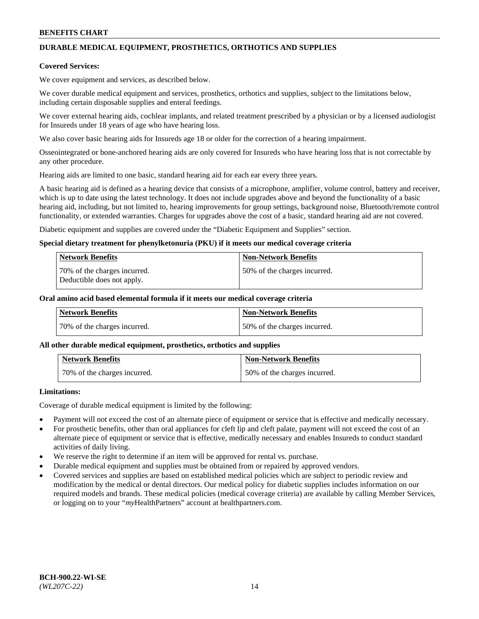# **DURABLE MEDICAL EQUIPMENT, PROSTHETICS, ORTHOTICS AND SUPPLIES**

### **Covered Services:**

We cover equipment and services, as described below.

We cover durable medical equipment and services, prosthetics, orthotics and supplies, subject to the limitations below, including certain disposable supplies and enteral feedings.

We cover external hearing aids, cochlear implants, and related treatment prescribed by a physician or by a licensed audiologist for Insureds under 18 years of age who have hearing loss.

We also cover basic hearing aids for Insureds age 18 or older for the correction of a hearing impairment.

Osseointegrated or bone-anchored hearing aids are only covered for Insureds who have hearing loss that is not correctable by any other procedure.

Hearing aids are limited to one basic, standard hearing aid for each ear every three years.

A basic hearing aid is defined as a hearing device that consists of a microphone, amplifier, volume control, battery and receiver, which is up to date using the latest technology. It does not include upgrades above and beyond the functionality of a basic hearing aid, including, but not limited to, hearing improvements for group settings, background noise, Bluetooth/remote control functionality, or extended warranties. Charges for upgrades above the cost of a basic, standard hearing aid are not covered.

Diabetic equipment and supplies are covered under the "Diabetic Equipment and Supplies" section.

### **Special dietary treatment for phenylketonuria (PKU) if it meets our medical coverage criteria**

| <b>Network Benefits</b>                                    | <b>Non-Network Benefits</b>  |
|------------------------------------------------------------|------------------------------|
| 70% of the charges incurred.<br>Deductible does not apply. | 50% of the charges incurred. |

### **Oral amino acid based elemental formula if it meets our medical coverage criteria**

| Network Benefits             | <b>Non-Network Benefits</b>  |
|------------------------------|------------------------------|
| 70% of the charges incurred. | 50% of the charges incurred. |

#### **All other durable medical equipment, prosthetics, orthotics and supplies**

| <b>Network Benefits</b>      | <b>Non-Network Benefits</b>  |
|------------------------------|------------------------------|
| 70% of the charges incurred. | 50% of the charges incurred. |

### **Limitations:**

Coverage of durable medical equipment is limited by the following:

- Payment will not exceed the cost of an alternate piece of equipment or service that is effective and medically necessary.
- For prosthetic benefits, other than oral appliances for cleft lip and cleft palate, payment will not exceed the cost of an alternate piece of equipment or service that is effective, medically necessary and enables Insureds to conduct standard activities of daily living.
- We reserve the right to determine if an item will be approved for rental vs. purchase.
- Durable medical equipment and supplies must be obtained from or repaired by approved vendors.
- Covered services and supplies are based on established medical policies which are subject to periodic review and modification by the medical or dental directors. Our medical policy for diabetic supplies includes information on our required models and brands. These medical policies (medical coverage criteria) are available by calling Member Services, or logging on to your "*my*HealthPartners" account a[t healthpartners.com.](http://www.healthpartners.com/)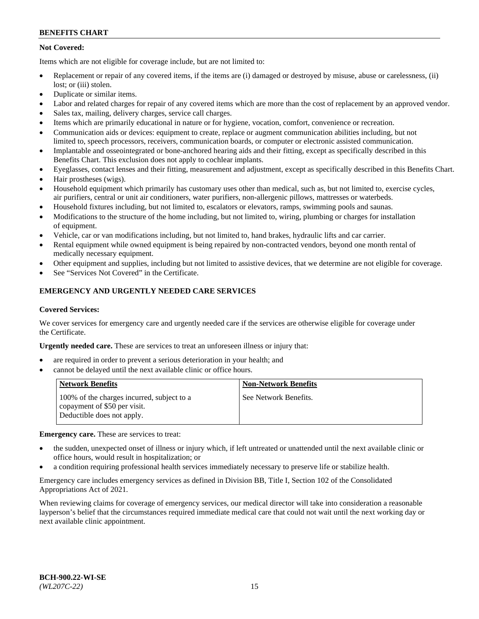# **Not Covered:**

Items which are not eligible for coverage include, but are not limited to:

- Replacement or repair of any covered items, if the items are (i) damaged or destroyed by misuse, abuse or carelessness, (ii) lost; or (iii) stolen.
- Duplicate or similar items.
- Labor and related charges for repair of any covered items which are more than the cost of replacement by an approved vendor.
- Sales tax, mailing, delivery charges, service call charges.
- Items which are primarily educational in nature or for hygiene, vocation, comfort, convenience or recreation.
- Communication aids or devices: equipment to create, replace or augment communication abilities including, but not limited to, speech processors, receivers, communication boards, or computer or electronic assisted communication.
- Implantable and osseointegrated or bone-anchored hearing aids and their fitting, except as specifically described in this Benefits Chart. This exclusion does not apply to cochlear implants.
- Eyeglasses, contact lenses and their fitting, measurement and adjustment, except as specifically described in this Benefits Chart.
- Hair prostheses (wigs).
- Household equipment which primarily has customary uses other than medical, such as, but not limited to, exercise cycles, air purifiers, central or unit air conditioners, water purifiers, non-allergenic pillows, mattresses or waterbeds.
- Household fixtures including, but not limited to, escalators or elevators, ramps, swimming pools and saunas.
- Modifications to the structure of the home including, but not limited to, wiring, plumbing or charges for installation of equipment.
- Vehicle, car or van modifications including, but not limited to, hand brakes, hydraulic lifts and car carrier.
- Rental equipment while owned equipment is being repaired by non-contracted vendors, beyond one month rental of medically necessary equipment.
- Other equipment and supplies, including but not limited to assistive devices, that we determine are not eligible for coverage.
- See "Services Not Covered" in the Certificate.

# **EMERGENCY AND URGENTLY NEEDED CARE SERVICES**

#### **Covered Services:**

We cover services for emergency care and urgently needed care if the services are otherwise eligible for coverage under the Certificate.

**Urgently needed care.** These are services to treat an unforeseen illness or injury that:

- are required in order to prevent a serious deterioration in your health; and
- cannot be delayed until the next available clinic or office hours.

| <b>Network Benefits</b>                                                                                  | <b>Non-Network Benefits</b> |
|----------------------------------------------------------------------------------------------------------|-----------------------------|
| 100% of the charges incurred, subject to a<br>copayment of \$50 per visit.<br>Deductible does not apply. | See Network Benefits.       |

**Emergency care.** These are services to treat:

- the sudden, unexpected onset of illness or injury which, if left untreated or unattended until the next available clinic or office hours, would result in hospitalization; or
- a condition requiring professional health services immediately necessary to preserve life or stabilize health.

Emergency care includes emergency services as defined in Division BB, Title I, Section 102 of the Consolidated Appropriations Act of 2021.

When reviewing claims for coverage of emergency services, our medical director will take into consideration a reasonable layperson's belief that the circumstances required immediate medical care that could not wait until the next working day or next available clinic appointment.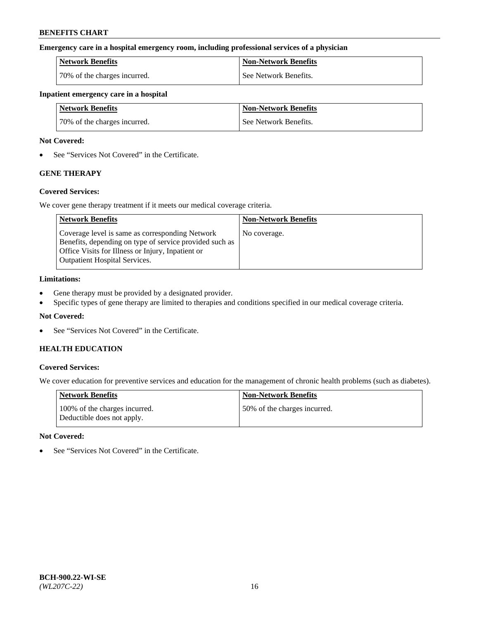### **Emergency care in a hospital emergency room, including professional services of a physician**

| <b>Network Benefits</b>      | <b>Non-Network Benefits</b> |
|------------------------------|-----------------------------|
| 70% of the charges incurred. | See Network Benefits.       |

#### **Inpatient emergency care in a hospital**

| <b>Network Benefits</b>      | <b>Non-Network Benefits</b> |
|------------------------------|-----------------------------|
| 70% of the charges incurred. | See Network Benefits.       |

### **Not Covered:**

• See "Services Not Covered" in the Certificate.

# **GENE THERAPY**

### **Covered Services:**

We cover gene therapy treatment if it meets our medical coverage criteria.

| <b>Network Benefits</b>                                                                                                                                                                                 | <b>Non-Network Benefits</b> |
|---------------------------------------------------------------------------------------------------------------------------------------------------------------------------------------------------------|-----------------------------|
| Coverage level is same as corresponding Network<br>Benefits, depending on type of service provided such as<br>Office Visits for Illness or Injury, Inpatient or<br><b>Outpatient Hospital Services.</b> | No coverage.                |

### **Limitations:**

- Gene therapy must be provided by a designated provider.
- Specific types of gene therapy are limited to therapies and conditions specified in our medical coverage criteria.

### **Not Covered:**

• See "Services Not Covered" in the Certificate.

## **HEALTH EDUCATION**

### **Covered Services:**

We cover education for preventive services and education for the management of chronic health problems (such as diabetes).

| <b>Network Benefits</b>                                     | <b>Non-Network Benefits</b>  |
|-------------------------------------------------------------|------------------------------|
| 100% of the charges incurred.<br>Deductible does not apply. | 50% of the charges incurred. |

#### **Not Covered:**

• See "Services Not Covered" in the Certificate.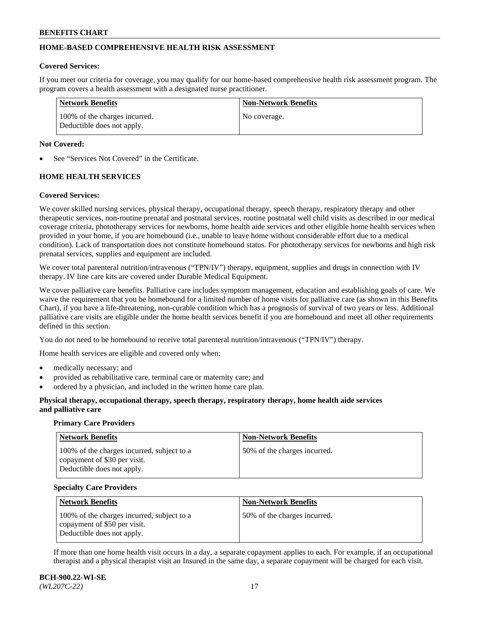# **HOME-BASED COMPREHENSIVE HEALTH RISK ASSESSMENT**

#### **Covered Services:**

If you meet our criteria for coverage, you may qualify for our home-based comprehensive health risk assessment program. The program covers a health assessment with a designated nurse practitioner.

| <b>Network Benefits</b>                                     | <b>Non-Network Benefits</b> |
|-------------------------------------------------------------|-----------------------------|
| 100% of the charges incurred.<br>Deductible does not apply. | No coverage.                |

### **Not Covered:**

See "Services Not Covered" in the Certificate.

# **HOME HEALTH SERVICES**

### **Covered Services:**

We cover skilled nursing services, physical therapy, occupational therapy, speech therapy, respiratory therapy and other therapeutic services, non-routine prenatal and postnatal services, routine postnatal well child visits as described in our medical coverage criteria, phototherapy services for newborns, home health aide services and other eligible home health services when provided in your home, if you are homebound (i.e., unable to leave home without considerable effort due to a medical condition). Lack of transportation does not constitute homebound status. For phototherapy services for newborns and high risk prenatal services, supplies and equipment are included.

We cover total parenteral nutrition/intravenous ("TPN/IV") therapy, equipment, supplies and drugs in connection with IV therapy. IV line care kits are covered under Durable Medical Equipment.

We cover palliative care benefits. Palliative care includes symptom management, education and establishing goals of care. We waive the requirement that you be homebound for a limited number of home visits for palliative care (as shown in this Benefits Chart), if you have a life-threatening, non-curable condition which has a prognosis of survival of two years or less. Additional palliative care visits are eligible under the home health services benefit if you are homebound and meet all other requirements defined in this section.

You do not need to be homebound to receive total parenteral nutrition/intravenous ("TPN/IV") therapy.

Home health services are eligible and covered only when:

- medically necessary; and
- provided as rehabilitative care, terminal care or maternity care; and
- ordered by a physician, and included in the written home care plan.

### **Physical therapy, occupational therapy, speech therapy, respiratory therapy, home health aide services and palliative care**

#### **Primary Care Providers**

| <b>Network Benefits</b>                                                                                  | <b>Non-Network Benefits</b>   |
|----------------------------------------------------------------------------------------------------------|-------------------------------|
| 100% of the charges incurred, subject to a<br>copayment of \$30 per visit.<br>Deductible does not apply. | 150% of the charges incurred. |

#### **Specialty Care Providers**

| <b>Network Benefits</b>                                                                                  | <b>Non-Network Benefits</b>  |
|----------------------------------------------------------------------------------------------------------|------------------------------|
| 100% of the charges incurred, subject to a<br>copayment of \$50 per visit.<br>Deductible does not apply. | 50% of the charges incurred. |

If more than one home health visit occurs in a day, a separate copayment applies to each. For example, if an occupational therapist and a physical therapist visit an Insured in the same day, a separate copayment will be charged for each visit.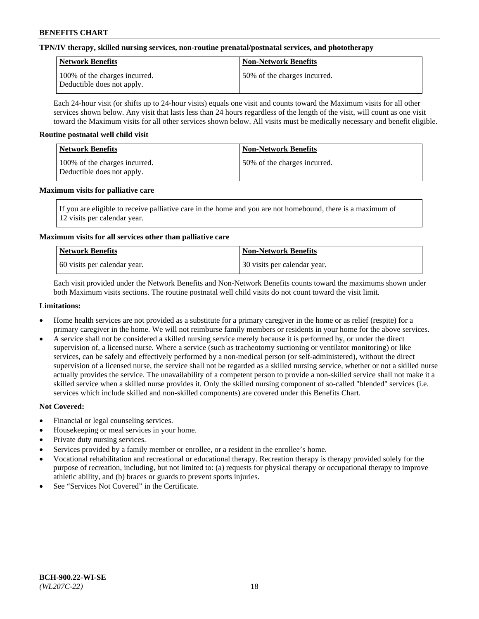### **TPN/IV therapy, skilled nursing services, non-routine prenatal/postnatal services, and phototherapy**

| Network Benefits                                            | <b>Non-Network Benefits</b>  |
|-------------------------------------------------------------|------------------------------|
| 100% of the charges incurred.<br>Deductible does not apply. | 50% of the charges incurred. |

Each 24-hour visit (or shifts up to 24-hour visits) equals one visit and counts toward the Maximum visits for all other services shown below. Any visit that lasts less than 24 hours regardless of the length of the visit, will count as one visit toward the Maximum visits for all other services shown below. All visits must be medically necessary and benefit eligible.

### **Routine postnatal well child visit**

| Network Benefits                                            | <b>Non-Network Benefits</b>  |
|-------------------------------------------------------------|------------------------------|
| 100% of the charges incurred.<br>Deductible does not apply. | 50% of the charges incurred. |

### **Maximum visits for palliative care**

If you are eligible to receive palliative care in the home and you are not homebound, there is a maximum of 12 visits per calendar year.

### **Maximum visits for all services other than palliative care**

| Network Benefits               | <b>Non-Network Benefits</b>  |
|--------------------------------|------------------------------|
| 1.60 visits per calendar year. | 30 visits per calendar year. |

Each visit provided under the Network Benefits and Non-Network Benefits counts toward the maximums shown under both Maximum visits sections. The routine postnatal well child visits do not count toward the visit limit.

### **Limitations:**

- Home health services are not provided as a substitute for a primary caregiver in the home or as relief (respite) for a primary caregiver in the home. We will not reimburse family members or residents in your home for the above services.
- A service shall not be considered a skilled nursing service merely because it is performed by, or under the direct supervision of, a licensed nurse. Where a service (such as tracheotomy suctioning or ventilator monitoring) or like services, can be safely and effectively performed by a non-medical person (or self-administered), without the direct supervision of a licensed nurse, the service shall not be regarded as a skilled nursing service, whether or not a skilled nurse actually provides the service. The unavailability of a competent person to provide a non-skilled service shall not make it a skilled service when a skilled nurse provides it. Only the skilled nursing component of so-called "blended" services (i.e. services which include skilled and non-skilled components) are covered under this Benefits Chart.

- Financial or legal counseling services.
- Housekeeping or meal services in your home.
- Private duty nursing services.
- Services provided by a family member or enrollee, or a resident in the enrollee's home.
- Vocational rehabilitation and recreational or educational therapy. Recreation therapy is therapy provided solely for the purpose of recreation, including, but not limited to: (a) requests for physical therapy or occupational therapy to improve athletic ability, and (b) braces or guards to prevent sports injuries.
- See "Services Not Covered" in the Certificate.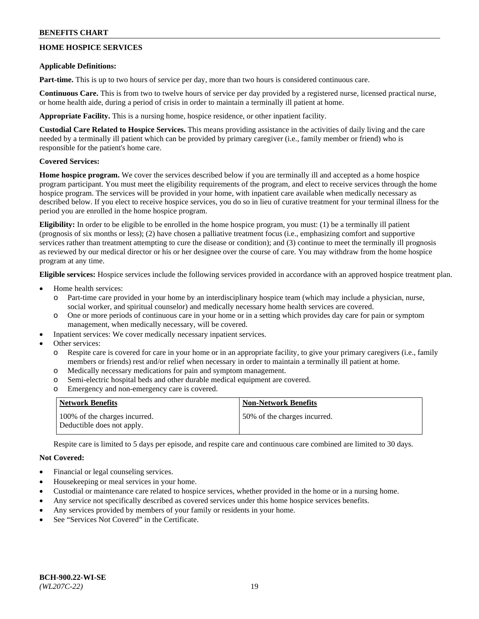# **HOME HOSPICE SERVICES**

### **Applicable Definitions:**

**Part-time.** This is up to two hours of service per day, more than two hours is considered continuous care.

**Continuous Care.** This is from two to twelve hours of service per day provided by a registered nurse, licensed practical nurse, or home health aide, during a period of crisis in order to maintain a terminally ill patient at home.

**Appropriate Facility.** This is a nursing home, hospice residence, or other inpatient facility.

**Custodial Care Related to Hospice Services.** This means providing assistance in the activities of daily living and the care needed by a terminally ill patient which can be provided by primary caregiver (i.e., family member or friend) who is responsible for the patient's home care.

### **Covered Services:**

**Home hospice program.** We cover the services described below if you are terminally ill and accepted as a home hospice program participant. You must meet the eligibility requirements of the program, and elect to receive services through the home hospice program. The services will be provided in your home, with inpatient care available when medically necessary as described below. If you elect to receive hospice services, you do so in lieu of curative treatment for your terminal illness for the period you are enrolled in the home hospice program.

**Eligibility:** In order to be eligible to be enrolled in the home hospice program, you must: (1) be a terminally ill patient (prognosis of six months or less); (2) have chosen a palliative treatment focus (i.e., emphasizing comfort and supportive services rather than treatment attempting to cure the disease or condition); and (3) continue to meet the terminally ill prognosis as reviewed by our medical director or his or her designee over the course of care. You may withdraw from the home hospice program at any time.

**Eligible services:** Hospice services include the following services provided in accordance with an approved hospice treatment plan.

- Home health services:
	- Part-time care provided in your home by an interdisciplinary hospice team (which may include a physician, nurse, social worker, and spiritual counselor) and medically necessary home health services are covered.
	- o One or more periods of continuous care in your home or in a setting which provides day care for pain or symptom management, when medically necessary, will be covered.
	- Inpatient services: We cover medically necessary inpatient services.
- Other services:
	- Respite care is covered for care in your home or in an appropriate facility, to give your primary caregivers (i.e., family members or friends) rest and/or relief when necessary in order to maintain a terminally ill patient at home.
	- o Medically necessary medications for pain and symptom management.
	- o Semi-electric hospital beds and other durable medical equipment are covered.
	- o Emergency and non-emergency care is covered.

| Network Benefits                                            | <b>Non-Network Benefits</b>  |
|-------------------------------------------------------------|------------------------------|
| 100% of the charges incurred.<br>Deductible does not apply. | 50% of the charges incurred. |

Respite care is limited to 5 days per episode, and respite care and continuous care combined are limited to 30 days.

- Financial or legal counseling services.
- Housekeeping or meal services in your home.
- Custodial or maintenance care related to hospice services, whether provided in the home or in a nursing home.
- Any service not specifically described as covered services under this home hospice services benefits.
- Any services provided by members of your family or residents in your home.
- See "Services Not Covered" in the Certificate.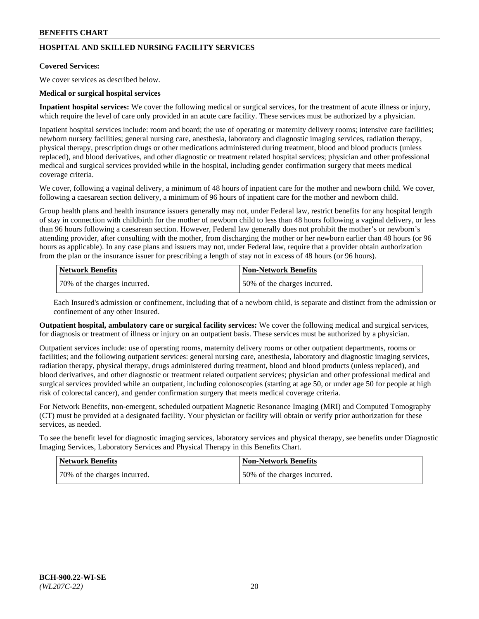# **HOSPITAL AND SKILLED NURSING FACILITY SERVICES**

#### **Covered Services:**

We cover services as described below.

### **Medical or surgical hospital services**

**Inpatient hospital services:** We cover the following medical or surgical services, for the treatment of acute illness or injury, which require the level of care only provided in an acute care facility. These services must be authorized by a physician.

Inpatient hospital services include: room and board; the use of operating or maternity delivery rooms; intensive care facilities; newborn nursery facilities; general nursing care, anesthesia, laboratory and diagnostic imaging services, radiation therapy, physical therapy, prescription drugs or other medications administered during treatment, blood and blood products (unless replaced), and blood derivatives, and other diagnostic or treatment related hospital services; physician and other professional medical and surgical services provided while in the hospital, including gender confirmation surgery that meets medical coverage criteria.

We cover, following a vaginal delivery, a minimum of 48 hours of inpatient care for the mother and newborn child. We cover, following a caesarean section delivery, a minimum of 96 hours of inpatient care for the mother and newborn child.

Group health plans and health insurance issuers generally may not, under Federal law, restrict benefits for any hospital length of stay in connection with childbirth for the mother of newborn child to less than 48 hours following a vaginal delivery, or less than 96 hours following a caesarean section. However, Federal law generally does not prohibit the mother's or newborn's attending provider, after consulting with the mother, from discharging the mother or her newborn earlier than 48 hours (or 96 hours as applicable). In any case plans and issuers may not, under Federal law, require that a provider obtain authorization from the plan or the insurance issuer for prescribing a length of stay not in excess of 48 hours (or 96 hours).

| Network Benefits             | Non-Network Benefits         |
|------------------------------|------------------------------|
| 70% of the charges incurred. | 50% of the charges incurred. |

Each Insured's admission or confinement, including that of a newborn child, is separate and distinct from the admission or confinement of any other Insured.

**Outpatient hospital, ambulatory care or surgical facility services:** We cover the following medical and surgical services, for diagnosis or treatment of illness or injury on an outpatient basis. These services must be authorized by a physician.

Outpatient services include: use of operating rooms, maternity delivery rooms or other outpatient departments, rooms or facilities; and the following outpatient services: general nursing care, anesthesia, laboratory and diagnostic imaging services, radiation therapy, physical therapy, drugs administered during treatment, blood and blood products (unless replaced), and blood derivatives, and other diagnostic or treatment related outpatient services; physician and other professional medical and surgical services provided while an outpatient, including colonoscopies (starting at age 50, or under age 50 for people at high risk of colorectal cancer), and gender confirmation surgery that meets medical coverage criteria.

For Network Benefits, non-emergent, scheduled outpatient Magnetic Resonance Imaging (MRI) and Computed Tomography (CT) must be provided at a designated facility. Your physician or facility will obtain or verify prior authorization for these services, as needed.

To see the benefit level for diagnostic imaging services, laboratory services and physical therapy, see benefits under Diagnostic Imaging Services, Laboratory Services and Physical Therapy in this Benefits Chart.

| <b>Network Benefits</b>      | <b>Non-Network Benefits</b>   |
|------------------------------|-------------------------------|
| 70% of the charges incurred. | 150% of the charges incurred. |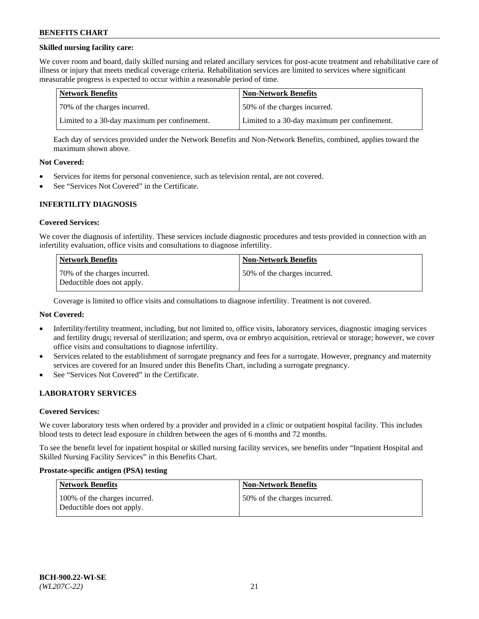### **Skilled nursing facility care:**

We cover room and board, daily skilled nursing and related ancillary services for post-acute treatment and rehabilitative care of illness or injury that meets medical coverage criteria. Rehabilitation services are limited to services where significant measurable progress is expected to occur within a reasonable period of time.

| Network Benefits                             | <b>Non-Network Benefits</b>                  |
|----------------------------------------------|----------------------------------------------|
| 170% of the charges incurred.                | 50% of the charges incurred.                 |
| Limited to a 30-day maximum per confinement. | Limited to a 30-day maximum per confinement. |

Each day of services provided under the Network Benefits and Non-Network Benefits, combined, applies toward the maximum shown above.

### **Not Covered:**

- Services for items for personal convenience, such as television rental, are not covered.
- See "Services Not Covered" in the Certificate.

### **INFERTILITY DIAGNOSIS**

#### **Covered Services:**

We cover the diagnosis of infertility. These services include diagnostic procedures and tests provided in connection with an infertility evaluation, office visits and consultations to diagnose infertility.

| <b>Network Benefits</b>                                    | <b>Non-Network Benefits</b>  |
|------------------------------------------------------------|------------------------------|
| 70% of the charges incurred.<br>Deductible does not apply. | 50% of the charges incurred. |

Coverage is limited to office visits and consultations to diagnose infertility. Treatment is not covered.

### **Not Covered:**

- Infertility/fertility treatment, including, but not limited to, office visits, laboratory services, diagnostic imaging services and fertility drugs; reversal of sterilization; and sperm, ova or embryo acquisition, retrieval or storage; however, we cover office visits and consultations to diagnose infertility.
- Services related to the establishment of surrogate pregnancy and fees for a surrogate. However, pregnancy and maternity services are covered for an Insured under this Benefits Chart, including a surrogate pregnancy.
- See "Services Not Covered" in the Certificate.

## **LABORATORY SERVICES**

#### **Covered Services:**

We cover laboratory tests when ordered by a provider and provided in a clinic or outpatient hospital facility. This includes blood tests to detect lead exposure in children between the ages of 6 months and 72 months.

To see the benefit level for inpatient hospital or skilled nursing facility services, see benefits under "Inpatient Hospital and Skilled Nursing Facility Services" in this Benefits Chart.

#### **Prostate-specific antigen (PSA) testing**

| <b>Network Benefits</b>                                     | <b>Non-Network Benefits</b>  |
|-------------------------------------------------------------|------------------------------|
| 100% of the charges incurred.<br>Deductible does not apply. | 50% of the charges incurred. |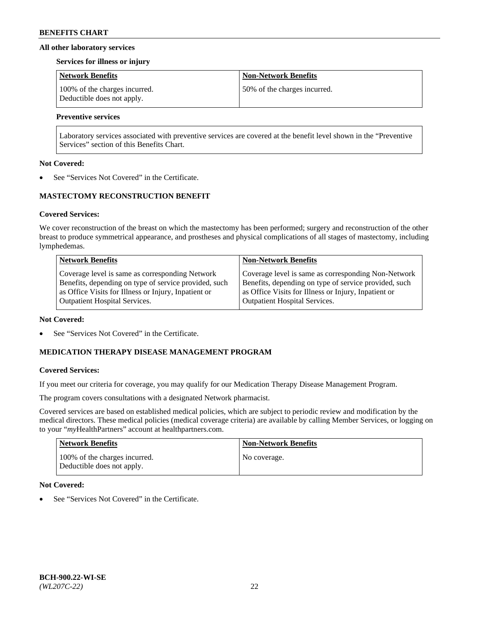### **All other laboratory services**

#### **Services for illness or injury**

| <b>Network Benefits</b>                                     | <b>Non-Network Benefits</b>  |
|-------------------------------------------------------------|------------------------------|
| 100% of the charges incurred.<br>Deductible does not apply. | 50% of the charges incurred. |

## **Preventive services**

Laboratory services associated with preventive services are covered at the benefit level shown in the "Preventive Services" section of this Benefits Chart.

### **Not Covered:**

See "Services Not Covered" in the Certificate.

# **MASTECTOMY RECONSTRUCTION BENEFIT**

### **Covered Services:**

We cover reconstruction of the breast on which the mastectomy has been performed; surgery and reconstruction of the other breast to produce symmetrical appearance, and prostheses and physical complications of all stages of mastectomy, including lymphedemas.

| <b>Network Benefits</b>                               | <b>Non-Network Benefits</b>                           |
|-------------------------------------------------------|-------------------------------------------------------|
| Coverage level is same as corresponding Network       | Coverage level is same as corresponding Non-Network   |
| Benefits, depending on type of service provided, such | Benefits, depending on type of service provided, such |
| as Office Visits for Illness or Injury, Inpatient or  | as Office Visits for Illness or Injury, Inpatient or  |
| <b>Outpatient Hospital Services.</b>                  | Outpatient Hospital Services.                         |

#### **Not Covered:**

See "Services Not Covered" in the Certificate.

### **MEDICATION THERAPY DISEASE MANAGEMENT PROGRAM**

### **Covered Services:**

If you meet our criteria for coverage, you may qualify for our Medication Therapy Disease Management Program.

The program covers consultations with a designated Network pharmacist.

Covered services are based on established medical policies, which are subject to periodic review and modification by the medical directors. These medical policies (medical coverage criteria) are available by calling Member Services, or logging on to your "*my*HealthPartners" account at [healthpartners.com.](http://www.healthpartners.com/)

| Network Benefits                                            | <b>Non-Network Benefits</b> |
|-------------------------------------------------------------|-----------------------------|
| 100% of the charges incurred.<br>Deductible does not apply. | No coverage.                |

### **Not Covered:**

See "Services Not Covered" in the Certificate.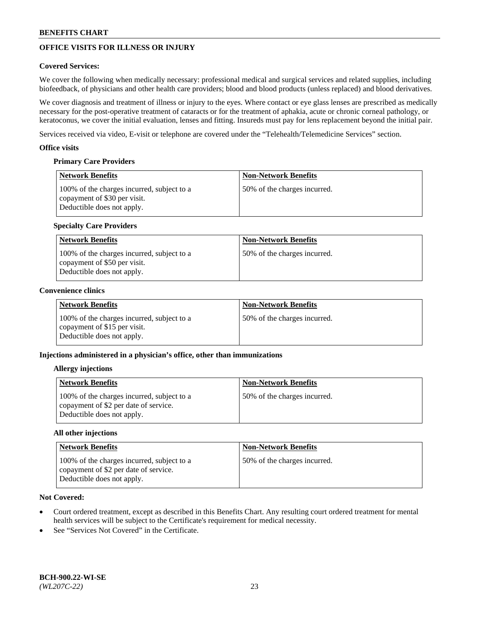# **OFFICE VISITS FOR ILLNESS OR INJURY**

### **Covered Services:**

We cover the following when medically necessary: professional medical and surgical services and related supplies, including biofeedback, of physicians and other health care providers; blood and blood products (unless replaced) and blood derivatives.

We cover diagnosis and treatment of illness or injury to the eyes. Where contact or eye glass lenses are prescribed as medically necessary for the post-operative treatment of cataracts or for the treatment of aphakia, acute or chronic corneal pathology, or keratoconus, we cover the initial evaluation, lenses and fitting. Insureds must pay for lens replacement beyond the initial pair.

Services received via video, E-visit or telephone are covered under the "Telehealth/Telemedicine Services" section.

### **Office visits**

### **Primary Care Providers**

| <b>Network Benefits</b>                                                                                  | <b>Non-Network Benefits</b>  |
|----------------------------------------------------------------------------------------------------------|------------------------------|
| 100% of the charges incurred, subject to a<br>copayment of \$30 per visit.<br>Deductible does not apply. | 50% of the charges incurred. |

### **Specialty Care Providers**

| Network Benefits                                                                                         | <b>Non-Network Benefits</b>  |
|----------------------------------------------------------------------------------------------------------|------------------------------|
| 100% of the charges incurred, subject to a<br>copayment of \$50 per visit.<br>Deductible does not apply. | 50% of the charges incurred. |

### **Convenience clinics**

| <b>Network Benefits</b>                                                                                  | <b>Non-Network Benefits</b>  |
|----------------------------------------------------------------------------------------------------------|------------------------------|
| 100% of the charges incurred, subject to a<br>copayment of \$15 per visit.<br>Deductible does not apply. | 50% of the charges incurred. |

### **Injections administered in a physician's office, other than immunizations**

#### **Allergy injections**

| <b>Network Benefits</b>                                                                                           | <b>Non-Network Benefits</b>  |
|-------------------------------------------------------------------------------------------------------------------|------------------------------|
| 100% of the charges incurred, subject to a<br>copayment of \$2 per date of service.<br>Deductible does not apply. | 50% of the charges incurred. |

#### **All other injections**

| Network Benefits                                                                                                  | <b>Non-Network Benefits</b>  |
|-------------------------------------------------------------------------------------------------------------------|------------------------------|
| 100% of the charges incurred, subject to a<br>copayment of \$2 per date of service.<br>Deductible does not apply. | 50% of the charges incurred. |

- Court ordered treatment, except as described in this Benefits Chart. Any resulting court ordered treatment for mental health services will be subject to the Certificate's requirement for medical necessity.
- See "Services Not Covered" in the Certificate.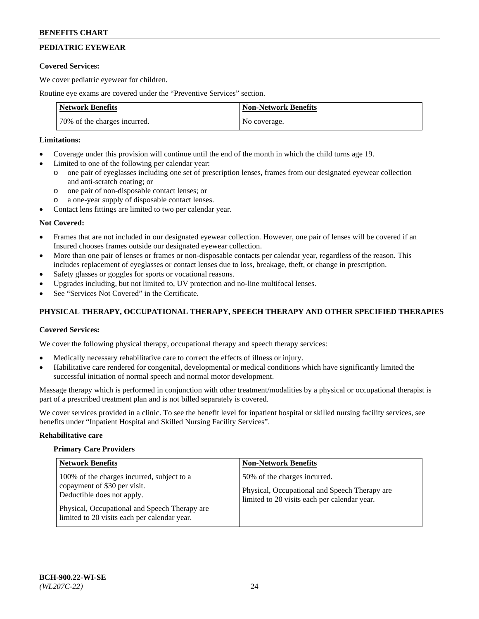# **PEDIATRIC EYEWEAR**

### **Covered Services:**

We cover pediatric eyewear for children.

Routine eye exams are covered under the "Preventive Services" section.

| <b>Network Benefits</b>      | <b>Non-Network Benefits</b> |
|------------------------------|-----------------------------|
| 70% of the charges incurred. | No coverage.                |

# **Limitations:**

- Coverage under this provision will continue until the end of the month in which the child turns age 19.
- Limited to one of the following per calendar year:
	- o one pair of eyeglasses including one set of prescription lenses, frames from our designated eyewear collection and anti-scratch coating; or
	- o one pair of non-disposable contact lenses; or
	- o a one-year supply of disposable contact lenses.
- Contact lens fittings are limited to two per calendar year.

### **Not Covered:**

- Frames that are not included in our designated eyewear collection. However, one pair of lenses will be covered if an Insured chooses frames outside our designated eyewear collection.
- More than one pair of lenses or frames or non-disposable contacts per calendar year, regardless of the reason. This includes replacement of eyeglasses or contact lenses due to loss, breakage, theft, or change in prescription.
- Safety glasses or goggles for sports or vocational reasons.
- Upgrades including, but not limited to, UV protection and no-line multifocal lenses.
- See "Services Not Covered" in the Certificate.

# **PHYSICAL THERAPY, OCCUPATIONAL THERAPY, SPEECH THERAPY AND OTHER SPECIFIED THERAPIES**

### **Covered Services:**

We cover the following physical therapy, occupational therapy and speech therapy services:

- Medically necessary rehabilitative care to correct the effects of illness or injury.
- Habilitative care rendered for congenital, developmental or medical conditions which have significantly limited the successful initiation of normal speech and normal motor development.

Massage therapy which is performed in conjunction with other treatment/modalities by a physical or occupational therapist is part of a prescribed treatment plan and is not billed separately is covered.

We cover services provided in a clinic. To see the benefit level for inpatient hospital or skilled nursing facility services, see benefits under "Inpatient Hospital and Skilled Nursing Facility Services".

#### **Rehabilitative care**

#### **Primary Care Providers**

| <b>Network Benefits</b>                                                                                                                                                                                   | <b>Non-Network Benefits</b>                                                                                                   |
|-----------------------------------------------------------------------------------------------------------------------------------------------------------------------------------------------------------|-------------------------------------------------------------------------------------------------------------------------------|
| 100% of the charges incurred, subject to a<br>copayment of \$30 per visit.<br>Deductible does not apply.<br>Physical, Occupational and Speech Therapy are<br>limited to 20 visits each per calendar year. | 50% of the charges incurred.<br>Physical, Occupational and Speech Therapy are<br>limited to 20 visits each per calendar year. |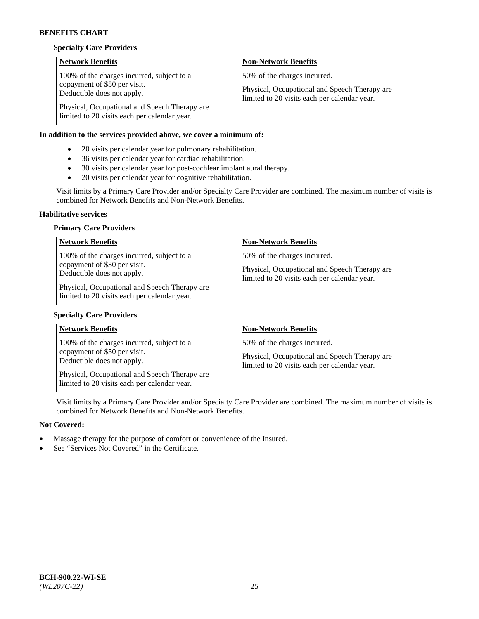### **Specialty Care Providers**

| <b>Network Benefits</b>                                                                                                                                                                                   | <b>Non-Network Benefits</b>                                                                                                   |
|-----------------------------------------------------------------------------------------------------------------------------------------------------------------------------------------------------------|-------------------------------------------------------------------------------------------------------------------------------|
| 100% of the charges incurred, subject to a<br>copayment of \$50 per visit.<br>Deductible does not apply.<br>Physical, Occupational and Speech Therapy are<br>limited to 20 visits each per calendar year. | 50% of the charges incurred.<br>Physical, Occupational and Speech Therapy are<br>limited to 20 visits each per calendar year. |

## **In addition to the services provided above, we cover a minimum of:**

- 20 visits per calendar year for pulmonary rehabilitation.
- 36 visits per calendar year for cardiac rehabilitation.
- 30 visits per calendar year for post-cochlear implant aural therapy.
- 20 visits per calendar year for cognitive rehabilitation.

Visit limits by a Primary Care Provider and/or Specialty Care Provider are combined. The maximum number of visits is combined for Network Benefits and Non-Network Benefits.

#### **Habilitative services**

### **Primary Care Providers**

| <b>Network Benefits</b>                                                                                                                                                                                   | <b>Non-Network Benefits</b>                                                                                                   |
|-----------------------------------------------------------------------------------------------------------------------------------------------------------------------------------------------------------|-------------------------------------------------------------------------------------------------------------------------------|
| 100% of the charges incurred, subject to a<br>copayment of \$30 per visit.<br>Deductible does not apply.<br>Physical, Occupational and Speech Therapy are<br>limited to 20 visits each per calendar year. | 50% of the charges incurred.<br>Physical, Occupational and Speech Therapy are<br>limited to 20 visits each per calendar year. |

#### **Specialty Care Providers**

| <b>Network Benefits</b>                                                                                                                                   | <b>Non-Network Benefits</b>                                                                                                   |
|-----------------------------------------------------------------------------------------------------------------------------------------------------------|-------------------------------------------------------------------------------------------------------------------------------|
| 100% of the charges incurred, subject to a<br>copayment of \$50 per visit.<br>Deductible does not apply.<br>Physical, Occupational and Speech Therapy are | 50% of the charges incurred.<br>Physical, Occupational and Speech Therapy are<br>limited to 20 visits each per calendar year. |
| limited to 20 visits each per calendar year.                                                                                                              |                                                                                                                               |

Visit limits by a Primary Care Provider and/or Specialty Care Provider are combined. The maximum number of visits is combined for Network Benefits and Non-Network Benefits.

- Massage therapy for the purpose of comfort or convenience of the Insured.
- See "Services Not Covered" in the Certificate.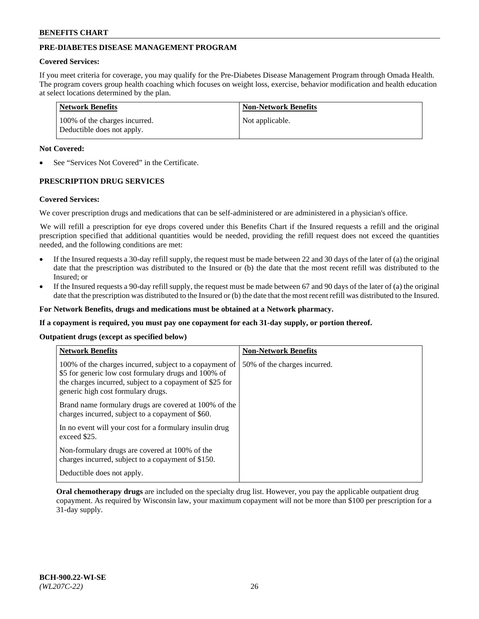# **PRE-DIABETES DISEASE MANAGEMENT PROGRAM**

### **Covered Services:**

If you meet criteria for coverage, you may qualify for the Pre-Diabetes Disease Management Program through Omada Health. The program covers group health coaching which focuses on weight loss, exercise, behavior modification and health education at select locations determined by the plan.

| Network Benefits                                            | <b>Non-Network Benefits</b> |
|-------------------------------------------------------------|-----------------------------|
| 100% of the charges incurred.<br>Deductible does not apply. | Not applicable.             |

### **Not Covered:**

See "Services Not Covered" in the Certificate.

## **PRESCRIPTION DRUG SERVICES**

#### **Covered Services:**

We cover prescription drugs and medications that can be self-administered or are administered in a physician's office.

We will refill a prescription for eye drops covered under this Benefits Chart if the Insured requests a refill and the original prescription specified that additional quantities would be needed, providing the refill request does not exceed the quantities needed, and the following conditions are met:

- If the Insured requests a 30-day refill supply, the request must be made between 22 and 30 days of the later of (a) the original date that the prescription was distributed to the Insured or (b) the date that the most recent refill was distributed to the Insured; or
- If the Insured requests a 90-day refill supply, the request must be made between 67 and 90 days of the later of (a) the original date that the prescription was distributed to the Insured or (b) the date that the most recent refill was distributed to the Insured.

**For Network Benefits, drugs and medications must be obtained at a Network pharmacy.**

**If a copayment is required, you must pay one copayment for each 31-day supply, or portion thereof.**

**Outpatient drugs (except as specified below)**

| <b>Network Benefits</b>                                                                                                                                                                                           | <b>Non-Network Benefits</b>  |
|-------------------------------------------------------------------------------------------------------------------------------------------------------------------------------------------------------------------|------------------------------|
| 100% of the charges incurred, subject to a copayment of<br>\$5 for generic low cost formulary drugs and 100% of<br>the charges incurred, subject to a copayment of \$25 for<br>generic high cost formulary drugs. | 50% of the charges incurred. |
| Brand name formulary drugs are covered at 100% of the<br>charges incurred, subject to a copayment of \$60.                                                                                                        |                              |
| In no event will your cost for a formulary insulin drug<br>exceed \$25.                                                                                                                                           |                              |
| Non-formulary drugs are covered at 100% of the<br>charges incurred, subject to a copayment of \$150.                                                                                                              |                              |
| Deductible does not apply.                                                                                                                                                                                        |                              |

**Oral chemotherapy drugs** are included on the specialty drug list. However, you pay the applicable outpatient drug copayment. As required by Wisconsin law, your maximum copayment will not be more than \$100 per prescription for a 31-day supply.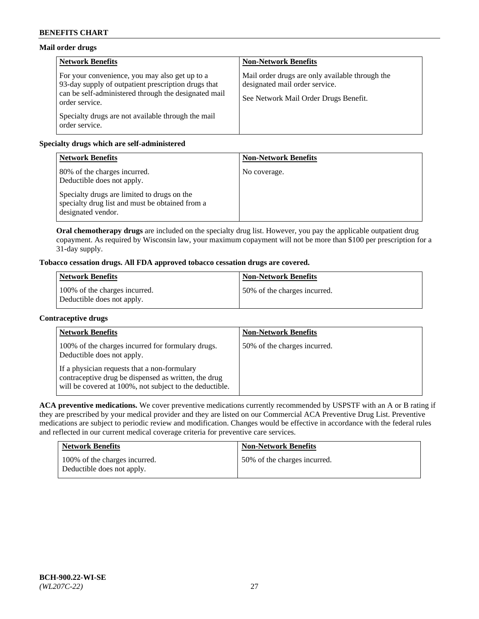# **Mail order drugs**

| <b>Network Benefits</b>                                                                                                                                                         | <b>Non-Network Benefits</b>                                                                                                |
|---------------------------------------------------------------------------------------------------------------------------------------------------------------------------------|----------------------------------------------------------------------------------------------------------------------------|
| For your convenience, you may also get up to a<br>93-day supply of outpatient prescription drugs that<br>can be self-administered through the designated mail<br>order service. | Mail order drugs are only available through the<br>designated mail order service.<br>See Network Mail Order Drugs Benefit. |
| Specialty drugs are not available through the mail<br>order service.                                                                                                            |                                                                                                                            |

# **Specialty drugs which are self-administered**

| <b>Network Benefits</b>                                                                                              | <b>Non-Network Benefits</b> |
|----------------------------------------------------------------------------------------------------------------------|-----------------------------|
| 80% of the charges incurred.<br>Deductible does not apply.                                                           | No coverage.                |
| Specialty drugs are limited to drugs on the<br>specialty drug list and must be obtained from a<br>designated vendor. |                             |

**Oral chemotherapy drugs** are included on the specialty drug list. However, you pay the applicable outpatient drug copayment. As required by Wisconsin law, your maximum copayment will not be more than \$100 per prescription for a 31-day supply.

# **Tobacco cessation drugs. All FDA approved tobacco cessation drugs are covered.**

| <b>Network Benefits</b>                                     | <b>Non-Network Benefits</b>  |
|-------------------------------------------------------------|------------------------------|
| 100% of the charges incurred.<br>Deductible does not apply. | 50% of the charges incurred. |

### **Contraceptive drugs**

| <b>Network Benefits</b>                                                                                                                                         | <b>Non-Network Benefits</b>  |
|-----------------------------------------------------------------------------------------------------------------------------------------------------------------|------------------------------|
| 100% of the charges incurred for formulary drugs.<br>Deductible does not apply.                                                                                 | 50% of the charges incurred. |
| If a physician requests that a non-formulary<br>contraceptive drug be dispensed as written, the drug<br>will be covered at 100%, not subject to the deductible. |                              |

**ACA preventive medications.** We cover preventive medications currently recommended by USPSTF with an A or B rating if they are prescribed by your medical provider and they are listed on our Commercial ACA Preventive Drug List. Preventive medications are subject to periodic review and modification. Changes would be effective in accordance with the federal rules and reflected in our current medical coverage criteria for preventive care services.

| <b>Network Benefits</b>                                     | <b>Non-Network Benefits</b>  |
|-------------------------------------------------------------|------------------------------|
| 100% of the charges incurred.<br>Deductible does not apply. | 50% of the charges incurred. |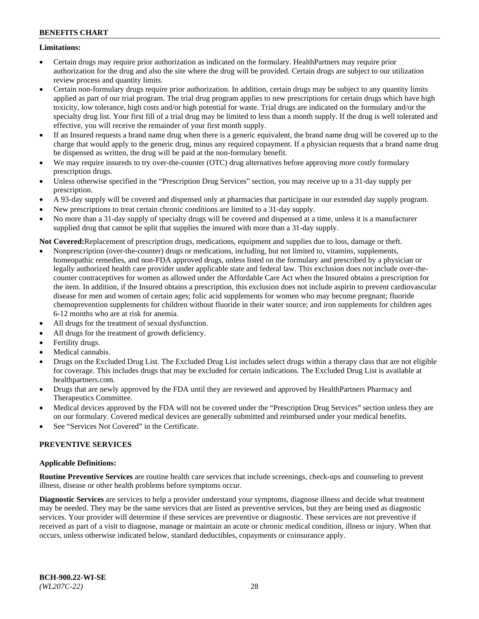### **Limitations:**

- Certain drugs may require prior authorization as indicated on the formulary. HealthPartners may require prior authorization for the drug and also the site where the drug will be provided. Certain drugs are subject to our utilization review process and quantity limits.
- Certain non-formulary drugs require prior authorization. In addition, certain drugs may be subject to any quantity limits applied as part of our trial program. The trial drug program applies to new prescriptions for certain drugs which have high toxicity, low tolerance, high costs and/or high potential for waste. Trial drugs are indicated on the formulary and/or the specialty drug list. Your first fill of a trial drug may be limited to less than a month supply. If the drug is well tolerated and effective, you will receive the remainder of your first month supply.
- If an Insured requests a brand name drug when there is a generic equivalent, the brand name drug will be covered up to the charge that would apply to the generic drug, minus any required copayment. If a physician requests that a brand name drug be dispensed as written, the drug will be paid at the non-formulary benefit.
- We may require insureds to try over-the-counter (OTC) drug alternatives before approving more costly formulary prescription drugs.
- Unless otherwise specified in the "Prescription Drug Services" section, you may receive up to a 31-day supply per prescription.
- A 93-day supply will be covered and dispensed only at pharmacies that participate in our extended day supply program.
- New prescriptions to treat certain chronic conditions are limited to a 31-day supply.
- No more than a 31-day supply of specialty drugs will be covered and dispensed at a time, unless it is a manufacturer supplied drug that cannot be split that supplies the insured with more than a 31-day supply.

**Not Covered:**Replacement of prescription drugs, medications, equipment and supplies due to loss, damage or theft.

- Nonprescription (over-the-counter) drugs or medications, including, but not limited to, vitamins, supplements, homeopathic remedies, and non-FDA approved drugs, unless listed on the formulary and prescribed by a physician or legally authorized health care provider under applicable state and federal law. This exclusion does not include over-thecounter contraceptives for women as allowed under the Affordable Care Act when the Insured obtains a prescription for the item. In addition, if the Insured obtains a prescription, this exclusion does not include aspirin to prevent cardiovascular disease for men and women of certain ages; folic acid supplements for women who may become pregnant; fluoride chemoprevention supplements for children without fluoride in their water source; and iron supplements for children ages 6-12 months who are at risk for anemia.
- All drugs for the treatment of sexual dysfunction.
- All drugs for the treatment of growth deficiency.
- Fertility drugs.
- Medical cannabis.
- Drugs on the Excluded Drug List. The Excluded Drug List includes select drugs within a therapy class that are not eligible for coverage. This includes drugs that may be excluded for certain indications. The Excluded Drug List is available at [healthpartners.com.](http://www.healthpartners.com/)
- Drugs that are newly approved by the FDA until they are reviewed and approved by HealthPartners Pharmacy and Therapeutics Committee.
- Medical devices approved by the FDA will not be covered under the "Prescription Drug Services" section unless they are on our formulary. Covered medical devices are generally submitted and reimbursed under your medical benefits.
- See "Services Not Covered" in the Certificate.

# **PREVENTIVE SERVICES**

### **Applicable Definitions:**

**Routine Preventive Services** are routine health care services that include screenings, check-ups and counseling to prevent illness, disease or other health problems before symptoms occur.

**Diagnostic Services** are services to help a provider understand your symptoms, diagnose illness and decide what treatment may be needed. They may be the same services that are listed as preventive services, but they are being used as diagnostic services. Your provider will determine if these services are preventive or diagnostic. These services are not preventive if received as part of a visit to diagnose, manage or maintain an acute or chronic medical condition, illness or injury. When that occurs, unless otherwise indicated below, standard deductibles, copayments or coinsurance apply.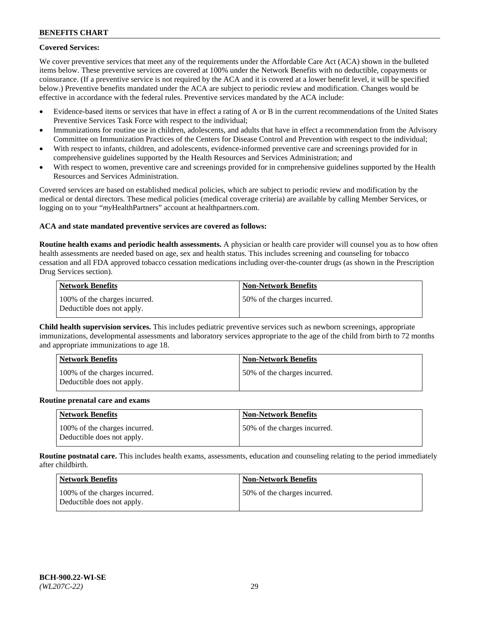## **Covered Services:**

We cover preventive services that meet any of the requirements under the Affordable Care Act (ACA) shown in the bulleted items below. These preventive services are covered at 100% under the Network Benefits with no deductible, copayments or coinsurance. (If a preventive service is not required by the ACA and it is covered at a lower benefit level, it will be specified below.) Preventive benefits mandated under the ACA are subject to periodic review and modification. Changes would be effective in accordance with the federal rules. Preventive services mandated by the ACA include:

- Evidence-based items or services that have in effect a rating of A or B in the current recommendations of the United States Preventive Services Task Force with respect to the individual;
- Immunizations for routine use in children, adolescents, and adults that have in effect a recommendation from the Advisory Committee on Immunization Practices of the Centers for Disease Control and Prevention with respect to the individual;
- With respect to infants, children, and adolescents, evidence-informed preventive care and screenings provided for in comprehensive guidelines supported by the Health Resources and Services Administration; and
- With respect to women, preventive care and screenings provided for in comprehensive guidelines supported by the Health Resources and Services Administration.

Covered services are based on established medical policies, which are subject to periodic review and modification by the medical or dental directors. These medical policies (medical coverage criteria) are available by calling Member Services, or logging on to your "*my*HealthPartners" account at [healthpartners.com.](https://www.healthpartners.com/hp/index.html)

### **ACA and state mandated preventive services are covered as follows:**

**Routine health exams and periodic health assessments.** A physician or health care provider will counsel you as to how often health assessments are needed based on age, sex and health status. This includes screening and counseling for tobacco cessation and all FDA approved tobacco cessation medications including over-the-counter drugs (as shown in the Prescription Drug Services section).

| Network Benefits                                            | <b>Non-Network Benefits</b>  |
|-------------------------------------------------------------|------------------------------|
| 100% of the charges incurred.<br>Deductible does not apply. | 50% of the charges incurred. |

**Child health supervision services.** This includes pediatric preventive services such as newborn screenings, appropriate immunizations, developmental assessments and laboratory services appropriate to the age of the child from birth to 72 months and appropriate immunizations to age 18.

| <b>Network Benefits</b>                                     | <b>Non-Network Benefits</b>  |
|-------------------------------------------------------------|------------------------------|
| 100% of the charges incurred.<br>Deductible does not apply. | 50% of the charges incurred. |

#### **Routine prenatal care and exams**

| <b>Network Benefits</b>                                     | <b>Non-Network Benefits</b>   |
|-------------------------------------------------------------|-------------------------------|
| 100% of the charges incurred.<br>Deductible does not apply. | 150% of the charges incurred. |

**Routine postnatal care.** This includes health exams, assessments, education and counseling relating to the period immediately after childbirth.

| Network Benefits                                            | <b>Non-Network Benefits</b>  |
|-------------------------------------------------------------|------------------------------|
| 100% of the charges incurred.<br>Deductible does not apply. | 50% of the charges incurred. |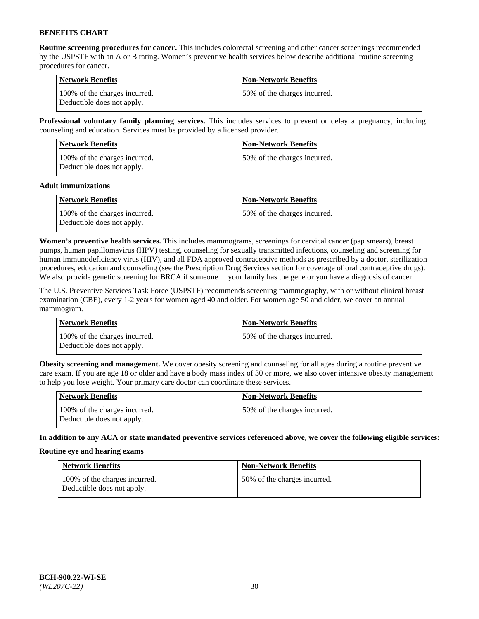**Routine screening procedures for cancer.** This includes colorectal screening and other cancer screenings recommended by the USPSTF with an A or B rating. Women's preventive health services below describe additional routine screening procedures for cancer.

| <b>Network Benefits</b>                                     | <b>Non-Network Benefits</b>   |
|-------------------------------------------------------------|-------------------------------|
| 100% of the charges incurred.<br>Deductible does not apply. | 150% of the charges incurred. |

**Professional voluntary family planning services.** This includes services to prevent or delay a pregnancy, including counseling and education. Services must be provided by a licensed provider.

| <b>Network Benefits</b>                                     | <b>Non-Network Benefits</b>   |
|-------------------------------------------------------------|-------------------------------|
| 100% of the charges incurred.<br>Deductible does not apply. | 150% of the charges incurred. |

#### **Adult immunizations**

| Network Benefits                                            | <b>Non-Network Benefits</b>   |
|-------------------------------------------------------------|-------------------------------|
| 100% of the charges incurred.<br>Deductible does not apply. | 150% of the charges incurred. |

**Women's preventive health services.** This includes mammograms, screenings for cervical cancer (pap smears), breast pumps, human papillomavirus (HPV) testing, counseling for sexually transmitted infections, counseling and screening for human immunodeficiency virus (HIV), and all FDA approved contraceptive methods as prescribed by a doctor, sterilization procedures, education and counseling (see the Prescription Drug Services section for coverage of oral contraceptive drugs). We also provide genetic screening for BRCA if someone in your family has the gene or you have a diagnosis of cancer.

The U.S. Preventive Services Task Force (USPSTF) recommends screening mammography, with or without clinical breast examination (CBE), every 1-2 years for women aged 40 and older. For women age 50 and older, we cover an annual mammogram.

| <b>Network Benefits</b>                                     | <b>Non-Network Benefits</b>  |
|-------------------------------------------------------------|------------------------------|
| 100% of the charges incurred.<br>Deductible does not apply. | 50% of the charges incurred. |

**Obesity screening and management.** We cover obesity screening and counseling for all ages during a routine preventive care exam. If you are age 18 or older and have a body mass index of 30 or more, we also cover intensive obesity management to help you lose weight. Your primary care doctor can coordinate these services.

| Network Benefits                                            | <b>Non-Network Benefits</b>  |
|-------------------------------------------------------------|------------------------------|
| 100% of the charges incurred.<br>Deductible does not apply. | 50% of the charges incurred. |

**In addition to any ACA or state mandated preventive services referenced above, we cover the following eligible services:**

#### **Routine eye and hearing exams**

| <b>Network Benefits</b>                                     | <b>Non-Network Benefits</b>  |
|-------------------------------------------------------------|------------------------------|
| 100% of the charges incurred.<br>Deductible does not apply. | 50% of the charges incurred. |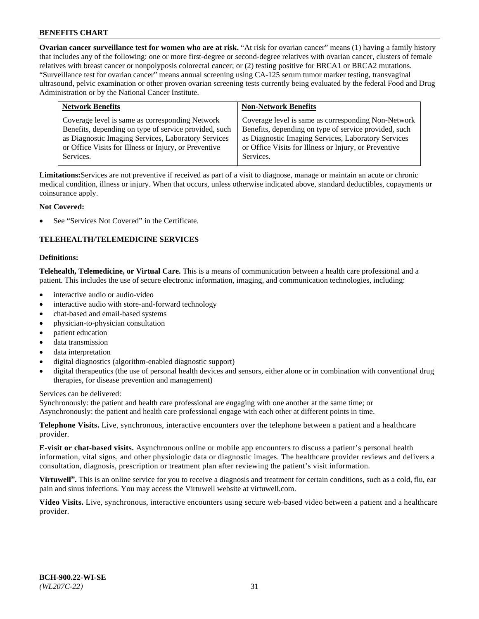**Ovarian cancer surveillance test for women who are at risk.** "At risk for ovarian cancer" means (1) having a family history that includes any of the following: one or more first-degree or second-degree relatives with ovarian cancer, clusters of female relatives with breast cancer or nonpolyposis colorectal cancer; or (2) testing positive for BRCA1 or BRCA2 mutations. "Surveillance test for ovarian cancer" means annual screening using CA-125 serum tumor marker testing, transvaginal ultrasound, pelvic examination or other proven ovarian screening tests currently being evaluated by the federal Food and Drug Administration or by the National Cancer Institute.

| <b>Network Benefits</b>                               | <b>Non-Network Benefits</b>                           |
|-------------------------------------------------------|-------------------------------------------------------|
| Coverage level is same as corresponding Network       | Coverage level is same as corresponding Non-Network   |
| Benefits, depending on type of service provided, such | Benefits, depending on type of service provided, such |
| as Diagnostic Imaging Services, Laboratory Services   | as Diagnostic Imaging Services, Laboratory Services   |
| or Office Visits for Illness or Injury, or Preventive | or Office Visits for Illness or Injury, or Preventive |
| Services.                                             | Services.                                             |

**Limitations:**Services are not preventive if received as part of a visit to diagnose, manage or maintain an acute or chronic medical condition, illness or injury. When that occurs, unless otherwise indicated above, standard deductibles, copayments or coinsurance apply.

### **Not Covered:**

See "Services Not Covered" in the Certificate.

### **TELEHEALTH/TELEMEDICINE SERVICES**

#### **Definitions:**

**Telehealth, Telemedicine, or Virtual Care.** This is a means of communication between a health care professional and a patient. This includes the use of secure electronic information, imaging, and communication technologies, including:

- interactive audio or audio-video
- interactive audio with store-and-forward technology
- chat-based and email-based systems
- physician-to-physician consultation
- patient education
- data transmission
- data interpretation
- digital diagnostics (algorithm-enabled diagnostic support)
- digital therapeutics (the use of personal health devices and sensors, either alone or in combination with conventional drug therapies, for disease prevention and management)

Services can be delivered:

Synchronously: the patient and health care professional are engaging with one another at the same time; or Asynchronously: the patient and health care professional engage with each other at different points in time.

**Telephone Visits.** Live, synchronous, interactive encounters over the telephone between a patient and a healthcare provider.

**E-visit or chat-based visits.** Asynchronous online or mobile app encounters to discuss a patient's personal health information, vital signs, and other physiologic data or diagnostic images. The healthcare provider reviews and delivers a consultation, diagnosis, prescription or treatment plan after reviewing the patient's visit information.

**Virtuwell<sup>®</sup>.** This is an online service for you to receive a diagnosis and treatment for certain conditions, such as a cold, flu, ear pain and sinus infections. You may access the Virtuwell website at [virtuwell.com.](https://www.virtuwell.com/)

**Video Visits.** Live, synchronous, interactive encounters using secure web-based video between a patient and a healthcare provider.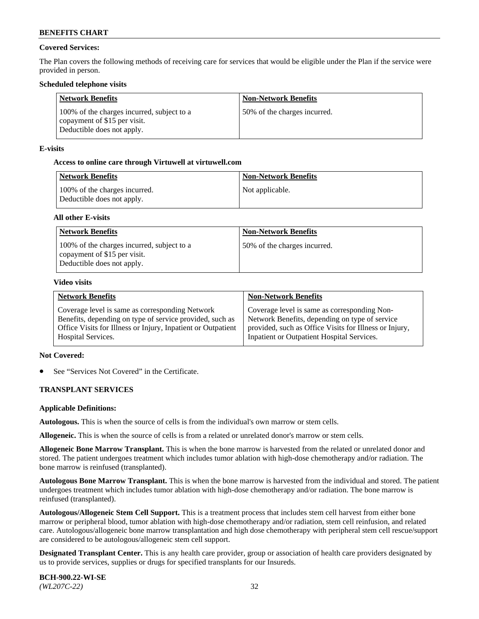## **Covered Services:**

The Plan covers the following methods of receiving care for services that would be eligible under the Plan if the service were provided in person.

### **Scheduled telephone visits**

| <b>Network Benefits</b>                                                                                  | <b>Non-Network Benefits</b>  |
|----------------------------------------------------------------------------------------------------------|------------------------------|
| 100% of the charges incurred, subject to a<br>copayment of \$15 per visit.<br>Deductible does not apply. | 50% of the charges incurred. |

### **E-visits**

### **Access to online care through Virtuwell at [virtuwell.com](https://www.virtuwell.com/)**

| Network Benefits                                            | <b>Non-Network Benefits</b> |
|-------------------------------------------------------------|-----------------------------|
| 100% of the charges incurred.<br>Deductible does not apply. | Not applicable.             |

### **All other E-visits**

| <b>Network Benefits</b>                                                                                  | <b>Non-Network Benefits</b>  |
|----------------------------------------------------------------------------------------------------------|------------------------------|
| 100% of the charges incurred, subject to a<br>copayment of \$15 per visit.<br>Deductible does not apply. | 50% of the charges incurred. |

#### **Video visits**

| <b>Network Benefits</b>                                      | <b>Non-Network Benefits</b>                            |
|--------------------------------------------------------------|--------------------------------------------------------|
| Coverage level is same as corresponding Network              | Coverage level is same as corresponding Non-           |
| Benefits, depending on type of service provided, such as     | Network Benefits, depending on type of service         |
| Office Visits for Illness or Injury, Inpatient or Outpatient | provided, such as Office Visits for Illness or Injury, |
| <b>Hospital Services.</b>                                    | Inpatient or Outpatient Hospital Services.             |

#### **Not Covered:**

See "Services Not Covered" in the Certificate.

### **TRANSPLANT SERVICES**

#### **Applicable Definitions:**

**Autologous.** This is when the source of cells is from the individual's own marrow or stem cells.

**Allogeneic.** This is when the source of cells is from a related or unrelated donor's marrow or stem cells.

**Allogeneic Bone Marrow Transplant.** This is when the bone marrow is harvested from the related or unrelated donor and stored. The patient undergoes treatment which includes tumor ablation with high-dose chemotherapy and/or radiation. The bone marrow is reinfused (transplanted).

**Autologous Bone Marrow Transplant.** This is when the bone marrow is harvested from the individual and stored. The patient undergoes treatment which includes tumor ablation with high-dose chemotherapy and/or radiation. The bone marrow is reinfused (transplanted).

**Autologous/Allogeneic Stem Cell Support.** This is a treatment process that includes stem cell harvest from either bone marrow or peripheral blood, tumor ablation with high-dose chemotherapy and/or radiation, stem cell reinfusion, and related care. Autologous/allogeneic bone marrow transplantation and high dose chemotherapy with peripheral stem cell rescue/support are considered to be autologous/allogeneic stem cell support.

**Designated Transplant Center.** This is any health care provider, group or association of health care providers designated by us to provide services, supplies or drugs for specified transplants for our Insureds.

**BCH-900.22-WI-SE**  *(WL207C-22)* 32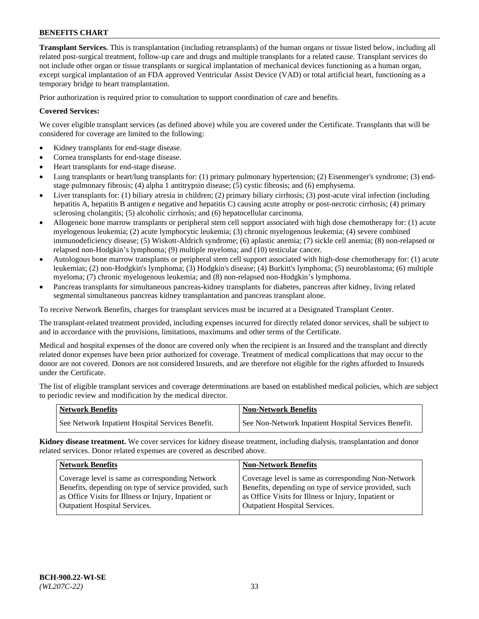**Transplant Services.** This is transplantation (including retransplants) of the human organs or tissue listed below, including all related post-surgical treatment, follow-up care and drugs and multiple transplants for a related cause. Transplant services do not include other organ or tissue transplants or surgical implantation of mechanical devices functioning as a human organ, except surgical implantation of an FDA approved Ventricular Assist Device (VAD) or total artificial heart, functioning as a temporary bridge to heart transplantation.

Prior authorization is required prior to consultation to support coordination of care and benefits.

### **Covered Services:**

We cover eligible transplant services (as defined above) while you are covered under the Certificate. Transplants that will be considered for coverage are limited to the following:

- Kidney transplants for end-stage disease.
- Cornea transplants for end-stage disease.
- Heart transplants for end-stage disease.
- Lung transplants or heart/lung transplants for: (1) primary pulmonary hypertension; (2) Eisenmenger's syndrome; (3) endstage pulmonary fibrosis; (4) alpha 1 antitrypsin disease; (5) cystic fibrosis; and (6) emphysema.
- Liver transplants for: (1) biliary atresia in children; (2) primary biliary cirrhosis; (3) post-acute viral infection (including hepatitis A, hepatitis B antigen e negative and hepatitis C) causing acute atrophy or post-necrotic cirrhosis; (4) primary sclerosing cholangitis; (5) alcoholic cirrhosis; and (6) hepatocellular carcinoma.
- Allogeneic bone marrow transplants or peripheral stem cell support associated with high dose chemotherapy for: (1) acute myelogenous leukemia; (2) acute lymphocytic leukemia; (3) chronic myelogenous leukemia; (4) severe combined immunodeficiency disease; (5) Wiskott-Aldrich syndrome; (6) aplastic anemia; (7) sickle cell anemia; (8) non-relapsed or relapsed non-Hodgkin's lymphoma; (9) multiple myeloma; and (10) testicular cancer.
- Autologous bone marrow transplants or peripheral stem cell support associated with high-dose chemotherapy for: (1) acute leukemias; (2) non-Hodgkin's lymphoma; (3) Hodgkin's disease; (4) Burkitt's lymphoma; (5) neuroblastoma; (6) multiple myeloma; (7) chronic myelogenous leukemia; and (8) non-relapsed non-Hodgkin's lymphoma.
- Pancreas transplants for simultaneous pancreas-kidney transplants for diabetes, pancreas after kidney, living related segmental simultaneous pancreas kidney transplantation and pancreas transplant alone.

To receive Network Benefits, charges for transplant services must be incurred at a Designated Transplant Center.

The transplant-related treatment provided, including expenses incurred for directly related donor services, shall be subject to and in accordance with the provisions, limitations, maximums and other terms of the Certificate.

Medical and hospital expenses of the donor are covered only when the recipient is an Insured and the transplant and directly related donor expenses have been prior authorized for coverage. Treatment of medical complications that may occur to the donor are not covered. Donors are not considered Insureds, and are therefore not eligible for the rights afforded to Insureds under the Certificate.

The list of eligible transplant services and coverage determinations are based on established medical policies, which are subject to periodic review and modification by the medical director.

| <b>Network Benefits</b>                          | <b>Non-Network Benefits</b>                          |
|--------------------------------------------------|------------------------------------------------------|
| See Network Inpatient Hospital Services Benefit. | See Non-Network Inpatient Hospital Services Benefit. |

**Kidney disease treatment.** We cover services for kidney disease treatment, including dialysis, transplantation and donor related services. Donor related expenses are covered as described above.

| <b>Network Benefits</b>                               | <b>Non-Network Benefits</b>                           |
|-------------------------------------------------------|-------------------------------------------------------|
| Coverage level is same as corresponding Network       | Coverage level is same as corresponding Non-Network   |
| Benefits, depending on type of service provided, such | Benefits, depending on type of service provided, such |
| as Office Visits for Illness or Injury, Inpatient or  | as Office Visits for Illness or Injury, Inpatient or  |
| <b>Outpatient Hospital Services.</b>                  | <b>Outpatient Hospital Services.</b>                  |